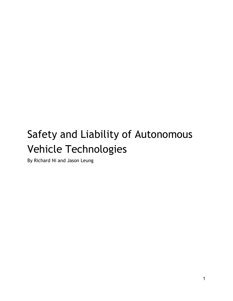# Safety and Liability of Autonomous Vehicle Technologies

By Richard Ni and Jason Leung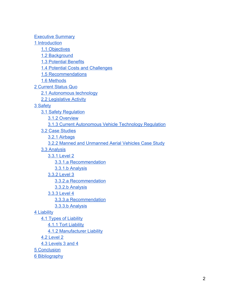Executive Summary 1 Introduction 1.1 Objectives 1.2 Background 1.3 Potential Benefits 1.4 Potential Costs and Challenges 1.5 Recommendations 1.6 Methods 2 Current Status Quo 2.1 Autonomous technology 2.2 Legislative Activity 3 Safety 3.1 Safety Regulation 3.1.2 Overview 3.1.3 Current Autonomous Vehicle Technology Regulation 3.2 Case Studies 3.2.1 Airbags 3.2.2 Manned and Unmanned Aerial Vehicles Case Study 3.3 Analysis 3.3.1 Level 2 3.3.1.a Recommendation 3.3.1.b Analysis 3.3.2 Level 3 3.3.2.a Recommendation 3.3.2.b Analysis 3.3.3 Level 4 3.3.3.a Recommendation 3.3.3.b Analysis 4 Liability 4.1 Types of Liability 4.1.1 Tort Liability 4.1.2 Manufacturer Liability 4.2 Level 2 4.3 Levels 3 and 4

5 Conclusion

6 Bibliography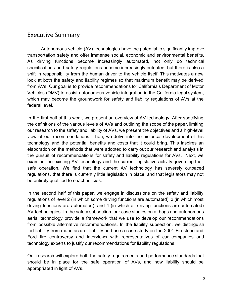## Executive Summary

Autonomous vehicle (AV) technologies have the potential to significantly improve transportation safety and offer immense social, economic and environmental benefits. As driving functions become increasingly automated, not only do technical specifications and safety regulations become increasingly outdated, but there is also a shift in responsibility from the human driver to the vehicle itself. This motivates a new look at both the safety and liability regimes so that maximum benefit may be derived from AVs. Our goal is to provide recommendations for California's Department of Motor Vehicles (DMV) to assist autonomous vehicle integration in the California legal system, which may become the groundwork for safety and liability regulations of AVs at the federal level.

In the first half of this work, we present an overview of AV technology. After specifying the definitions of the various levels of AVs and outlining the scope of the paper, limiting our research to the safety and liability of AVs, we present the objectives and a high-level view of our recommendations. Then, we delve into the historical development of this technology and the potential benefits and costs that it could bring. This inspires an elaboration on the methods that were adopted to carry out our research and analysis in the pursuit of recommendations for safety and liability regulations for AVs. Next, we examine the existing AV technology and the current legislative activity governing their safe operation. We find that the current AV technology has severely outpaced regulations, that there is currently little legislation in place, and that legislators may not be entirely qualified to enact policies.

In the second half of this paper, we engage in discussions on the safety and liability regulations of level 2 (in which some driving functions are automated), 3 (in which most driving functions are automated), and 4 (in which all driving functions are automated) AV technologies. In the safety subsection, our case studies on airbags and autonomous aerial technology provide a framework that we use to develop our recommendations from possible alternative recommendations. In the liability subsection, we distinguish tort liability from manufacturer liability and use a case study on the 2001 Firestone and Ford tire controversy and interviews with representatives of car companies and technology experts to justify our recommendations for liability regulations.

Our research will explore both the safety requirements and performance standards that should be in place for the safe operation of AVs, and how liability should be appropriated in light of AVs.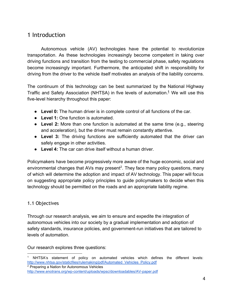# 1 Introduction

Autonomous vehicle (AV) technologies have the potential to revolutionize transportation. As these technologies increasingly become competent in taking over driving functions and transition from the testing to commercial phase, safety regulations become increasingly important. Furthermore, the anticipated shift in responsibility for driving from the driver to the vehicle itself motivates an analysis of the liability concerns.

The continuum of this technology can be best summarized by the National Highway Traffic and Safety Association (NHTSA) in five levels of automation.<sup>1</sup> We will use this five-level hierarchy throughout this paper:

- **Level 0:** The human driver is in complete control of all functions of the car.
- **Level 1:** One function is automated.
- **Level 2:** More than one function is automated at the same time (e.g., steering and acceleration), but the driver must remain constantly attentive.
- **Level 3:** The driving functions are sufficiently automated that the driver can safely engage in other activities.
- **Level 4:** The car can drive itself without a human driver.

Policymakers have become progressively more aware of the huge economic, social and environmental changes that AVs may present<sup>2</sup>. They face many policy questions, many of which will determine the adoption and impact of AV technology. This paper will focus on suggesting appropriate policy principles to guide policymakers to decide when this technology should be permitted on the roads and an appropriate liability regime.

#### 1.1 Objectives

Through our research analysis, we aim to ensure and expedite the integration of autonomous vehicles into our society by a gradual implementation and adoption of safety standards, insurance policies, and government-run initiatives that are tailored to levels of automation.

Our research explores three questions:

NHTSA's statement of policy on automated vehicles which defines the different levels: [http://www.nhtsa.gov/staticfiles/rulemaking/pdf/Automated\\_Vehicles\\_Policy.pdf](http://www.google.com/url?q=http%3A%2F%2Fwww.nhtsa.gov%2Fstaticfiles%2Frulemaking%2Fpdf%2FAutomated_Vehicles_Policy.pdf&sa=D&sntz=1&usg=AFQjCNEIW8BuVOaZES414FC6R0CEp1lgAQ) <sup>2</sup> Preparing a Nation for Autonomous Vehicles

http://www.enotrans.org/wp-content/uploads/wpsc/downloadables/AV-paper.pdf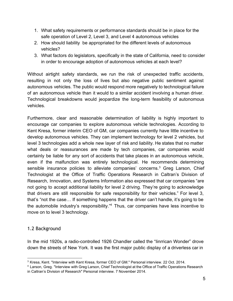- 1. What safety requirements or performance standards should be in place for the safe operation of Level 2, Level 3, and Level 4 autonomous vehicles
- 2. How should liability be appropriated for the different levels of autonomous vehicles?
- 3. What factors do legislators, specifically in the state of California, need to consider in order to encourage adoption of autonomous vehicles at each level?

Without airtight safety standards, we run the risk of unexpected traffic accidents, resulting in not only the loss of lives but also negative public sentiment against autonomous vehicles. The public would respond more negatively to technological failure of an autonomous vehicle than it would to a similar accident involving a human driver. Technological breakdowns would jeopardize the long-term feasibility of autonomous vehicles.

Furthermore, clear and reasonable determination of liability is highly important to encourage car companies to explore autonomous vehicle technologies. According to Kent Kresa, former interim CEO of GM, car companies currently have little incentive to develop autonomous vehicles. They can implement technology for level 2 vehicles, but level 3 technologies add a whole new layer of risk and liability. He states that no matter what deals or reassurances are made by tech companies, car companies would certainly be liable for any sort of accidents that take places in an autonomous vehicle, even if the malfunction was entirely technological. He recommends determining sensible insurance policies to alleviate companies' concerns.<sup>3</sup> Greg Larson, Chief Technologist at the Office of Traffic Operations Research in Caltran's Division of Research, Innovation, and Systems Information also expressed that car companies "are not going to accept additional liability for level 2 driving. They're going to acknowledge that drivers are still responsible for safe responsibility for their vehicles." For level 3, that's "not the case… If something happens that the driver can't handle, it's going to be the automobile industry's responsibility."<sup>4</sup> Thus, car companies have less incentive to move on to level 3 technology.

#### 1.2 Background

In the mid 1920s, a radio-controlled 1926 Chandler called the "Iinrrican Wonder" drove down the streets of New York. It was the first major public display of a driverless car in

<sup>3</sup> Kresa, Kent. "Interview with Kent Kresa, former CEO of GM." Personal interview. 22 Oct. 2014.

<sup>4</sup> Larson, Greg. "Interview with Greg Larson, Chief Technologist at the Office of Traffic Operations Research in Caltran's Division of Research" Personal interview. 7 November 2014.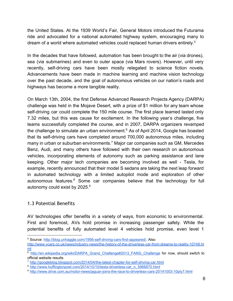the United States. At the 1939 World's Fair, General Motors introduced the Futurama ride and advocated for a national automated highway system, encouraging many to dream of a world where automated vehicles could replaced human drivers entirely.<sup>5</sup>

In the decades that have followed, automation has been brought to the air (via drones), sea (via submarines) and even to outer space (via Mars rovers). However, until very recently, self-driving cars have been mostly relegated to science fiction novels. Advancements have been made in machine learning and machine vision technology over the past decade, and the goal of autonomous vehicles on our nation's roads and highways has become a more tangible reality.

On March 13th, 2004, the first Defense Advanced Research Projects Agency (DARPA) challenge was held in the Mojave Desert, with a prize of \$1 million for any team whose self-driving car could complete the 150 mile course. The first place teamed lasted only 7.32 miles, but this was cause for excitement. In the following year's challenge, five teams successfully completed the course, and in 2007, DARPA organizers revamped the challenge to simulate an urban environment. $6$  As of April 2014, Google has boasted that its self-driving cars have completed around 700,000 autonomous miles, including many in urban or suburban environments.<sup>7</sup> Major car companies such as GM, Mercedes Benz, Audi, and many others have followed with their own research on autonomous vehicles, incorporating elements of autonomy such as parking assistance and lane keeping. Other major tech companies are becoming involved as well - Tesla, for example, recently announced that their model S sedans are taking the next leap forward in automated technology with a limited autopilot mode and exploration of other autonomous features. $8$  Some car companies believe that the technology for full autonomy could exist by 2025.<sup>9</sup>

#### 1.3 Potential Benefits

AV technologies offer benefits in a variety of ways, from economic to environmental. First and foremost, AVs hold promise in increasing passenger safety. While the potential benefits of fully automated level 4 vehicles hold promise, even level 1

<sup>&</sup>lt;sup>5</sup> Source: http://blog.unhaggle.com/1956-self-driving-cars-first-appeared/. Also

http://www.vcars.co.uk/news/industry-news/the-history-of-the-driverless-car-from-dreams-to-reality-10749.ht [ml](http://www.google.com/url?q=http%3A%2F%2Fwww.vcars.co.uk%2Fnews%2Findustry-news%2Fthe-history-of-the-driverless-car-from-dreams-to-reality-10749.html&sa=D&sntz=1&usg=AFQjCNEuVqrlqSUBOmCYYXSEK8kqzbjDRQ)

<sup>&</sup>lt;sup>6</sup> [http://en.wikipedia.org/wiki/DARPA\\_Grand\\_Challenge#2013\\_FANG\\_Challenge](http://www.google.com/url?q=http%3A%2F%2Fen.wikipedia.org%2Fwiki%2FDARPA_Grand_Challenge%232013_FANG_Challenge&sa=D&sntz=1&usg=AFQjCNE0u6CNOEmfSWFXIEk3o0ZNs8esdA) for now, should switch to official website results

<sup>&</sup>lt;sup>7</sup> http://googleblog.blogspot.com/2014/04/the-latest-chapter-for-self-driving-car.html

<sup>&</sup>lt;sup>8</sup> http://www.huffingtonpost.com/2014/10/10/tesla-driverless-car\_n\_5966870.html

<sup>9</sup> http://www.drive.com.au/motor-news/jaguar-joins-the-race-to-driverless-cars-20141003-10ply7.html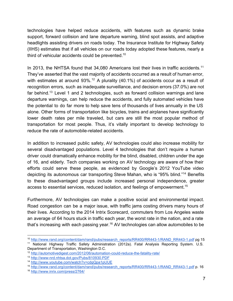technologies have helped reduce accidents, with features such as dynamic brake support, forward collision and lane departure warning, blind spot assists, and adaptive headlights assisting drivers on roads today. The Insurance Institute for Highway Safety (IIHS) estimates that if all vehicles on our roads today adopted these features, nearly a third of vehicular accidents could be prevented.<sup>10</sup>

In 2013, the NHTSA found that 34,080 Americans lost their lives in traffic accidents.<sup>11</sup> They've asserted that the vast majority of accidents occurred as a result of human error, with estimates at around 93%.<sup>12</sup> A plurality (40.1%) of accidents occur as a result of recognition errors, such as inadequate surveillance, and decision errors (37.0%) are not far behind.<sup>13</sup> Level 1 and 2 technologies, such as forward collision warnings and lane departure warnings, can help reduce the accidents, and fully automated vehicles have the potential to do far more to help save tens of thousands of lives annually in the US alone. Other forms of transportation like bicycles, trains and airplanes have significantly lower death rates per mile traveled, but cars are still the most popular method of transportation for most people. Thus, it's vitally important to develop technology to reduce the rate of automobile-related accidents.

In addition to increased public safety, AV technologies could also increase mobility for several disadvantaged populations. Level 4 technologies that don't require a human driver could dramatically enhance mobility for the blind, disabled, children under the age of 16, and elderly. Tech companies working on AV technology are aware of how their efforts could serve these people, as evidenced by Google's 2012 YouTube video depicting its autonomous car transporting Steve Mahan, who is "95% blind."<sup>14</sup> Benefits to these disadvantaged groups include increased personal independence, greater access to essential services, reduced isolation, and feelings of empowerment. 15

Furthermore, AV technologies can make a positive social and environmental impact. Road congestion can be a major issue, with traffic jams costing drivers many hours of their lives. According to the 2014 Intrix Scorecard, commuters from Los Angeles waste an average of 64 hours stuck in traffic each year, the worst rate in the nation, and a rate that's increasing with each passing year.<sup>16</sup> AV technologies can allow automobiles to be

<sup>&</sup>lt;sup>10</sup> http://www.rand.org/content/dam/rand/pubs/research\_reports/RR400/RR443-1/RAND\_RR443-1.pdf pg 15

<sup>11</sup> National Highway Traffic Safety Administration (2012a). Fatal Analysis Reporting System. U.S. Department of Transportation, Washington D.C.

<sup>&</sup>lt;sup>12</sup> http://automotivedigest.com/2012/06/automation-could-reduce-the-fatality-rate/

<sup>13</sup> [http://wwwnrd.nhtsa.dot.gov/Pubs/810930.PDF](http://www.google.com/url?q=http%3A%2F%2Fwww-nrd.nhtsa.dot.gov%2FPubs%2F810930.PDF&sa=D&sntz=1&usg=AFQjCNH60hg-ziNG4yUSh8r4fKX_3Gvnag)

<sup>14</sup> <http://www.youtube.com/watch?v=cdgQpa1pUUE>

<sup>&</sup>lt;sup>15</sup> http://www.rand.org/content/dam/rand/pubs/research\_reports/RR400/RR443-1/RAND\_RR443-1.pdf p. 16

<sup>16</sup> [http://www.inrix.com/press/2764/](http://www.google.com/url?q=http%3A%2F%2Fwww.inrix.com%2Fpress%2F2764%2F&sa=D&sntz=1&usg=AFQjCNH1Irh8vgsdRly0kjWiAE2JtTUUfA)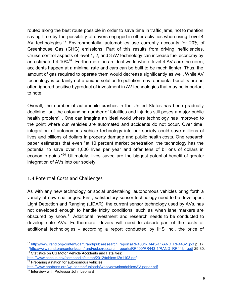routed along the best route possible in order to save time in traffic jams, not to mention saving time by the possibility of drivers engaged in other activities when using Level 4 AV technologies.<sup>17</sup> Environmentally, automobiles use currently accounts for 20% of Greenhouse Gas (GHG) emissions. Part of this results from driving inefficiencies. Cruise control aspects of level 1, 2, and 3 AV technology can increase fuel economy by an estimated  $4-10\%$ <sup>18</sup>. Furthermore, in an ideal world where level 4 AVs are the norm, accidents happen at a minimal rate and cars can be built to be much lighter. Thus, the amount of gas required to operate them would decrease significantly as well. While AV technology is certainly not a unique solution to pollution, environmental benefits are an often ignored positive byproduct of investment in AV technologies that may be important to note.

Overall, the number of automobile crashes in the United States has been gradually declining, but the astounding number of fatalities and injuries still poses a major public health problem<sup>19</sup>. One can imagine an ideal world where technology has improved to the point where our vehicles are automated and accidents do not occur. Over time, integration of autonomous vehicle technology into our society could save millions of lives and billions of dollars in property damage and public health costs. One research paper estimates that even "at 10 percent market penetration, the technology has the potential to save over 1,000 lives per year and offer tens of billions of dollars in economic gains."<sup>20</sup> Ultimately, lives saved are the biggest potential benefit of greater integration of AVs into our society.

#### 1.4 Potential Costs and Challenges

As with any new technology or social undertaking, autonomous vehicles bring forth a variety of new challenges. First, satisfactory sensor technology need to be developed. Light Detection and Ranging (LIDAR), the current sensor technology used by AVs, has not developed enough to handle tricky conditions, such as when lane markers are obscured by snow. $21$  Additional investment and research needs to be conducted to develop safe AVs. Furthermore, drivers will need to absorb part of the costs of additional technologies - according a report conducted by IHS inc., the price of

<sup>&</sup>lt;sup>17</sup> http://www.rand.org/content/dam/rand/pubs/research\_reports/RR400/RR443-1/RAND\_RR443-1.pdf p. 17 <sup>18</sup>http://www.rand.org/content/dam/rand/pubs/research\_reports/RR400/RR443-1/RAND\_RR443-1.pdf 29-30.

<sup>19</sup> Statistics on US Motor Vehicle Accidents and Fatalities:

[http://www.census.gov/compendia/statab/2012/tables/12s1103.pdf](http://www.google.com/url?q=http%3A%2F%2Fwww.census.gov%2Fcompendia%2Fstatab%2F2012%2Ftables%2F12s1103.pdf&sa=D&sntz=1&usg=AFQjCNGxfVKSiLUYRqtCQRRCPNkntK_X6w) <sup>20</sup> Preparing a nation for autonomous vehicles http://www.enotrans.org/wp-content/uploads/wpsc/downloadables/AV-paper.pdf

<sup>&</sup>lt;sup>21</sup> Interview with Professor John Leonard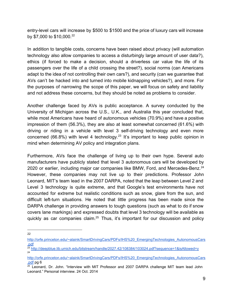entry-level cars will increase by \$500 to \$1500 and the price of luxury cars will increase by \$7,000 to \$10,000.<sup>22</sup>

In addition to tangible costs, concerns have been raised about privacy (will automation technology also allow companies to access a disturbingly large amount of user data?), ethics (if forced to make a decision, should a driverless car value the life of its passengers over the life of a child crossing the street?), social norms (can Americans adapt to the idea of not controlling their own cars?), and security (can we guarantee that AVs can't be hacked into and turned into mobile kidnapping vehicles?), and more. For the purposes of narrowing the scope of this paper, we will focus on safety and liability and not address these concerns, but they should be noted as problems to consider.

Another challenge faced by AVs is public acceptance. A survey conducted by the University of Michigan across the U.S., U.K., and Australia this year concluded that, while most Americans have heard of autonomous vehicles (70.9%) and have a positive impression of them (56.3%), they are also at least somewhat concerned (61.6%) with driving or riding in a vehicle with level 3 self-driving technology and even more concerned (66.8%) with level 4 technology.<sup>23</sup> It's important to keep public opinion in mind when determining AV policy and integration plans.

Furthermore, AVs face the challenge of living up to their own hype. Several auto manufacturers have publicly stated that level 3 autonomous cars will be developed by 2020 or earlier, including major car companies like BMW, Ford, and Mercedes-Benz. $^{24}$ However, these companies may not live up to their predictions. Professor John Leonard, MIT's team lead in the 2007 DARPA, noted that the leap between Level 2 and Level 3 technology is quite extreme, and that Google's test environments have not accounted for extreme but realistic conditions such as snow, glare from the sun, and difficult left-turn situations. He noted that little progress has been made since the DARPA challenge in providing answers to tough questions (such as what to do if snow covers lane markings) and expressed doubts that level 3 technology will be available as quickly as car companies claim.<sup>25</sup> Thus, it's important for our discussion and policy

22

[http://orfe.princeton.edu/~alaink/SmartDrivingCars/PDFs/IHS%20\\_EmergingTechnologies\\_AutonomousCars](http://www.google.com/url?q=http%3A%2F%2Forfe.princeton.edu%2F~alaink%2FSmartDrivingCars%2FPDFs%2FIHS%2520_EmergingTechnologies_AutonomousCars.pdf&sa=D&sntz=1&usg=AFQjCNHOFOuz8Vj2zjTaJ09u1LJCowLLAw) [.pdf](http://www.google.com/url?q=http%3A%2F%2Forfe.princeton.edu%2F~alaink%2FSmartDrivingCars%2FPDFs%2FIHS%2520_EmergingTechnologies_AutonomousCars.pdf&sa=D&sntz=1&usg=AFQjCNHOFOuz8Vj2zjTaJ09u1LJCowLLAw)

<sup>&</sup>lt;sup>23</sup> [http://deepblue.lib.umich.edu/bitstream/handle/2027.42/108384/103024.pdf?sequence=1&isAllowed=y](http://www.google.com/url?q=http%3A%2F%2Fdeepblue.lib.umich.edu%2Fbitstream%2Fhandle%2F2027.42%2F108384%2F103024.pdf%3Fsequence%3D1%26isAllowed%3Dy&sa=D&sntz=1&usg=AFQjCNEWah6ptgwoZJ0n86QwOZoiyzd0Ww) 24

[http://orfe.princeton.edu/~alaink/SmartDrivingCars/PDFs/IHS%20\\_EmergingTechnologies\\_AutonomousCars](http://www.google.com/url?q=http%3A%2F%2Forfe.princeton.edu%2F~alaink%2FSmartDrivingCars%2FPDFs%2FIHS%2520_EmergingTechnologies_AutonomousCars.pdf&sa=D&sntz=1&usg=AFQjCNHOFOuz8Vj2zjTaJ09u1LJCowLLAw) [.pdf](http://www.google.com/url?q=http%3A%2F%2Forfe.princeton.edu%2F~alaink%2FSmartDrivingCars%2FPDFs%2FIHS%2520_EmergingTechnologies_AutonomousCars.pdf&sa=D&sntz=1&usg=AFQjCNHOFOuz8Vj2zjTaJ09u1LJCowLLAw) pg 6

 $25$  Leonard, Dr. John. "Interview with MIT Professor and 2007 DARPA challenge MIT team lead John Leonard." Personal interview. 24 Oct. 2014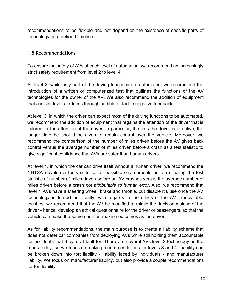recommendations to be flexible and not depend on the existence of specific parts of technology on a defined timeline.

#### 1.5 Recommendations

To ensure the safety of AVs at each level of automation, we recommend an increasingly strict safety requirement from level 2 to level 4.

At level 2, while only part of the driving functions are automated, we recommend the introduction of a written or computerized test that outlines the functions of the AV technologies for the owner of the AV. We also recommend the addition of equipment that assists driver alertness through audible or tactile negative feedback.

At level 3, in which the driver can expect most of the driving functions to be automated, we recommend the addition of equipment that regains the attention of the driver that is tailored to the attention of the driver. In particular, the less the driver is attentive, the longer time he should be given to regain control over the vehicle. Moreover, we recommend the comparison of the number of miles driven before the AV gives back control versus the average number of miles driven before a crash as a test statistic to give significant confidence that AVs are safer than human drivers.

At level 4, in which the car can drive itself without a human driver, we recommend the NHTSA develop a tests suite for all possible environments on top of using the test statistic of number of miles driven before an AV crashes versus the average number of miles driven before a crash *not attributable to human error*. Also, we recommend that level 4 AVs have a steering wheel, brake and throttle, but disable it's use once the AV technology is turned on. Lastly, with regards to the ethics of the AV in inevitable crashes, we recommend that the AV be modified to mimic the decision making of the driver hence, develop an ethical questionnaire for the driver or passengers, so that the vehicle can make the same decision-making outcomes as the driver.

As for liability recommendations, the main purpose is to create a liability scheme that does not deter car companies from deploying AVs while still holding them accountable for accidents that they're at fault for. There are several AVs level 2 technology on the roads today, so we focus on making recommendations for levels 3 and 4. Liability can be broken down into tort liability - liability faced by individuals - and manufacturer liability. We focus on manufacturer liability, but also provide a couple recommendations for tort liability.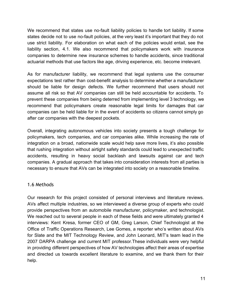We recommend that states use no-fault liability policies to handle tort liability. If some states decide not to use no-fault policies, at the very least it's important that they do not use strict liability. For elaboration on what each of the policies would entail, see the liability section, 4.1. We also recommend that policymakers work with insurance companies to determine new insurance schemes to handle accidents, since traditional actuarial methods that use factors like age, driving experience, etc. become irrelevant.

As for manufacturer liability, we recommend that legal systems use the consumer expectations test rather than cost-benefit analysis to determine whether a manufacturer should be liable for design defects. We further recommend that users should not assume all risk so that AV companies can still be held accountable for accidents. To prevent these companies from being deterred from implementing level 3 technology, we recommend that policymakers create reasonable legal limits for damages that car companies can be held liable for in the event of accidents so citizens cannot simply go after car companies with the deepest pockets.

Overall, integrating autonomous vehicles into society presents a tough challenge for policymakers, tech companies, and car companies alike. While increasing the rate of integration on a broad, nationwide scale would help save more lives, it's also possible that rushing integration without airtight safety standards could lead to unexpected traffic accidents, resulting in heavy social backlash and lawsuits against car and tech companies. A gradual approach that takes into consideration interests from all parties is necessary to ensure that AVs can be integrated into society on a reasonable timeline.

#### 1.6 Methods

Our research for this project consisted of personal interviews and literature reviews. AVs affect multiple industries, so we interviewed a diverse group of experts who could provide perspectives from an automobile manufacturer, policymaker, and technologist. We reached out to several people in each of these fields and were ultimately granted 4 interviews: Kent Kresa, former CEO of GM, Greg Larson, Chief Technologist at the Office of Traffic Operations Research, Lee Gomes, a reporter who's written about AVs for Slate and the MIT Technology Review, and John Leonard, MIT's team lead in the 2007 DARPA challenge and current MIT professor.These individuals were very helpful in providing different perspectives of how AV technologies affect their areas of expertise and directed us towards excellent literature to examine, and we thank them for their help.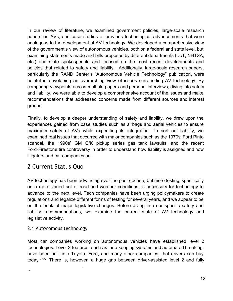In our review of literature, we examined government policies, large-scale research papers on AVs, and case studies of previous technological advancements that were analogous to the development of AV technology. We developed a comprehensive view of the government's view of autonomous vehicles, both on a federal and state level, but examining statements made and bills proposed by different departments (DoT, NHTSA, etc.) and state spokespeople and focused on the most recent developments and policies that related to safety and liability. Additionally, large-scale research papers, particularly the RAND Center's "Autonomous Vehicle Technology" publication, were helpful in developing an overarching view of issues surrounding AV technology. By comparing viewpoints across multiple papers and personal interviews, diving into safety and liability, we were able to develop a comprehensive account of the issues and make recommendations that addressed concerns made from different sources and interest groups.

Finally, to develop a deeper understanding of safety and liability, we drew upon the experiences gained from case studies such as airbags and aerial vehicles to ensure maximum safety of AVs while expediting its integration. To sort out liability, we examined real issues that occurred with major companies such as the 1970s' Ford Pinto scandal, the 1990s' GM C/K pickup series gas tank lawsuits, and the recent Ford-Firestone tire controversy in order to understand how liability is assigned and how litigators and car companies act.

# 2 Current Status Quo

AV technology has been advancing over the past decade, but more testing, specifically on a more varied set of road and weather conditions, is necessary for technology to advance to the next level. Tech companies have been urging policymakers to create regulations and legalize different forms of testing for several years, and we appear to be on the brink of major legislative changes. Before diving into our specific safety and liability recommendations, we examine the current state of AV technology and legislative activity.

## 2.1 Autonomous technology

Most car companies working on autonomous vehicles have established level 2 technologies. Level 2 features, such as lane keeping systems and automated breaking, have been built into Toyota, Ford, and many other companies, that drivers can buy today.<sup>2627</sup> There is, however, a huge gap between driver-assisted level 2 and fully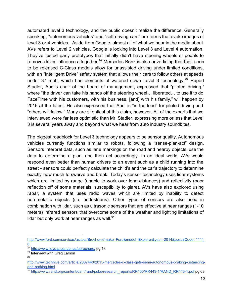automated level 3 technology, and the public doesn't realize the difference. Generally speaking, "autonomous vehicles" and "self-driving cars" are terms that evoke images of level 3 or 4 vehicles. Aside from Google, almost all of what we hear in the media about AVs refers to Level 2 vehicles. Google is looking into Level 3 and Level 4 automation. They've tested early prototypes that initially didn't have steering wheels or pedals to remove driver influence altogether.<sup>28</sup> Mercedes-Benz is also advertising that their soon to be released C-Class models allow for unassisted driving under limited conditions, with an "Intelligent Drive" safety system that allows their cars to follow others at speeds under 37 mph, which has elements of watered down Level 3 technology.<sup>29</sup> Rupert Stadler, Audi's chair of the board of management, expressed that "piloted driving," where "the driver can take his hands off the steering wheel… liberated… to use it to do FaceTime with his customers, with his business, [and] with his family," will happen by 2016 at the latest. He also expressed that Audi is "in the lead" for piloted driving and "others will follow." Many are skeptical of this claim, however. All of the experts that we interviewed were far less optimistic than Mr. Stadler, expressing more or less that Level 3 is several years away and beyond what we hear from auto industry soundbites.

The biggest roadblock for Level 3 technology appears to be sensor quality. Autonomous vehicles currently functions similar to robots, following a "sense-plan-act" design. Sensors interpret data, such as lane markings on the road and nearby objects, use the data to determine a plan, and then act accordingly. In an ideal world, AVs would respond even better than human drivers to an event such as a child running into the street - sensors could perfectly calculate the child's and the car's trajectory to determine exactly how much to swerve and break. Today's sensor technology uses lidar systems which are limited by range (unable to work over long distances) and reflectivity (poor reflection off of some materials, susceptibility to glare). AVs have also explored using *radar*, a system that uses radio waves which are limited by inability to detect non-metallic objects (i.e. pedestrians). Other types of sensors are also used in combination with lidar, such as ultrasonic sensors that are effective at near ranges (1-10) meters) infrared sensors that overcome some of the weather and lighting limitations of lidar but only work at near ranges as well.<sup>30</sup>

[http://www.ford.com/services/assets/Brochure?make=Ford&model=Explorer&year=2014&postalCode=1111](http://www.google.com/url?q=http%3A%2F%2Fwww.ford.com%2Fservices%2Fassets%2FBrochure%3Fmake%3DFord%26model%3DExplorer%26year%3D2014%26postalCode%3D11110&sa=D&sntz=1&usg=AFQjCNExEnw4hpDSKGA_UgaVsxfLEvUlKA) [0](http://www.google.com/url?q=http%3A%2F%2Fwww.ford.com%2Fservices%2Fassets%2FBrochure%3Fmake%3DFord%26model%3DExplorer%26year%3D2014%26postalCode%3D11110&sa=D&sntz=1&usg=AFQjCNExEnw4hpDSKGA_UgaVsxfLEvUlKA)

<sup>27</sup> [http://www.toyota.com/prius/ebrochure/](http://www.google.com/url?q=http%3A%2F%2Fwww.toyota.com%2Fprius%2Febrochure%2F&sa=D&sntz=1&usg=AFQjCNHkA9qHMkSXymUlA3jwM0w3xCvcqg) pg 13

<sup>&</sup>lt;sup>28</sup> Interview with Greg Larson

<sup>29</sup>

http://www.techhive.com/article/2087440/2015-mercedes-c-class-gets-semi-autonomous-braking-distancingand-parking.html

<sup>&</sup>lt;sup>30</sup> http://www.rand.org/content/dam/rand/pubs/research\_reports/RR400/RR443-1/RAND\_RR443-1.pdf pg 63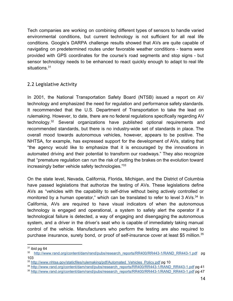Tech companies are working on combining different types of sensors to handle varied environmental conditions, but current technology is not sufficient for all real life conditions. Google's DARPA challenge results showed that AVs are quite capable of navigating on predetermined routes under favorable weather conditions teams were provided with GPS coordinates for the course's road segments and stop signs but sensor technology needs to be enhanced to react quickly enough to adapt to real life situations.<sup>31</sup>

#### 2.2 Legislative Activity

In 2001, the National Transportation Safety Board (NTSB) issued a report on AV technology and emphasized the need for regulation and performance safety standards. It recommended that the U.S. Department of Transportation to take the lead on rulemaking. However, to date, there are no federal regulations specifically regarding AV technology.<sup>32</sup> Several organizations have published optional requirements and recommended standards, but there is no industry-wide set of standards in place. The overall mood towards autonomous vehicles, however, appears to be positive. The NHTSA, for example, has expressed support for the development of AVs, stating that "the agency would like to emphasize that it is encouraged by the innovations in automated driving and their potential to transform our roadways." They also recognize that "premature regulation can run the risk of putting the brakes on the evolution toward increasingly better vehicle safety technologies." 33

On the state level, Nevada, California, Florida, Michigan, and the District of Columbia have passed legislations that authorize the testing of AVs. These legislations define AVs as "vehicles with the capability to self-drive without being actively controlled or monitored by a human operator," which can be translated to refer to level 3 AVs.<sup>34</sup> In California, AVs are required to have visual indicators of when the autonomous technology is engaged and operational, a system to safely alert the operator if a technological failure is detected, a way of engaging and disengaging the autonomous system, and a driver in the driver's seat who is capable of immediately taking manual control of the vehicle. Manufacturers who perform the testing are also required to purchase insurance, surety bond, or proof of self-insurance cover at least \$5 million.<sup>35</sup>

 $31$  ibid pg 64

<sup>&</sup>lt;sup>32</sup> http://www.rand.org/content/dam/rand/pubs/research\_reports/RR400/RR443-1/RAND\_RR443-1.pdf pg 103

<sup>&</sup>lt;sup>33</sup> http://www.nhtsa.gov/staticfiles/rulemaking/pdf/Automated Vehicles Policy.pdf pg 10

<sup>&</sup>lt;sup>34</sup> http://www.rand.org/content/dam/rand/pubs/research\_reports/RR400/RR443-1/RAND\_RR443-1.pdf pg 41

<sup>&</sup>lt;sup>35</sup> http://www.rand.org/content/dam/rand/pubs/research\_reports/RR400/RR443-1/RAND\_RR443-1.pdf pg 47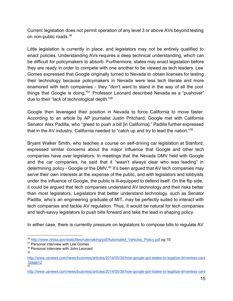Current legislation does not permit operation of any level 3 or above AVs beyond testing on non-public roads.<sup>36</sup>

Little legislation is currently in place, and legislators may not be entirely qualified to enact policies. Understanding AVs requires a deep technical understanding, which can be difficult for policymakers to absorb. Furthermore, states may enact legislation before they are ready in order to compete with one another to be viewed as tech leaders. Lee Gomes expressed that Google originally turned to Nevada to obtain licenses for testing their technology because policymakers in Nevada were less tech literate and more enamored with tech companies - they "don't want to stand in the way of all the cool things that Google is doing."<sup>37</sup> Professor Leonard described Nevada as a "pushover" due to their "lack of technological depth."<sup>38</sup>

Google then leveraged their position in Nevada to force California to move faster. According to an article by AP journalist Justin Pritchard, Google met with California Senator Alex Padilla, who "greed to push a bill [in California]." Padilla further expressed that in the AV industry, California needed to "catch up and try to lead the nation."<sup>39</sup>

Bryant Walker Smith, who teaches a course on self-driving car legislation at Stanford, expressed similar concerns about the major influence that Google and other tech companies have over legislators. In meetings that the Nevada DMV held with Google and the car companies, he said that it "wasn't always clear who was leading" in determining policy - Google or the DMV.<sup>40</sup> It's been argued that AV tech companies may serve their own interests at the expense of the public, and with legislators and lobbyists under the influence of Google, the public is ill-equipped to defend itself. On the flip side, it could be argued that tech companies understand AV technology and their risks better than most legislators. Legislators that better understand technology, such as Senator Padilla, who's an engineering graduate of MIT, may be perfectly suited to interact with tech companies and tackle AV regulation. Thus, it would be natural for tech companies and tech-savvy legislators to push bills forward and take the lead in shaping policy.

In either case, there is currently pressure on legislators to compose bills to regulate AV

<sup>&</sup>lt;sup>36</sup> [http://www.nhtsa.gov/staticfiles/rulemaking/pdf/Automated\\_Vehicles\\_Policy.pdf](http://www.google.com/url?q=http%3A%2F%2Fwww.nhtsa.gov%2Fstaticfiles%2Frulemaking%2Fpdf%2FAutomated_Vehicles_Policy.pdf&sa=D&sntz=1&usg=AFQjCNEIW8BuVOaZES414FC6R0CEp1lgAQ) pg 10

<sup>&</sup>lt;sup>37</sup> Personal interview with Lee Gomes

<sup>38</sup> Personal interview with John Leonard 39

http://www.usnews.com/news/business/articles/2014/05/30/how-google-got-states-to-legalize-driverless-cars [?page=2](http://www.google.com/url?q=http%3A%2F%2Fwww.usnews.com%2Fnews%2Fbusiness%2Farticles%2F2014%2F05%2F30%2Fhow-google-got-states-to-legalize-driverless-cars%3Fpage%3D2&sa=D&sntz=1&usg=AFQjCNGM6OS19dWHPdvy_F_fpquJi3V6lg) 40

http://www.usnews.com/news/business/articles/2014/05/30/how-google-got-states-to-legalize-driverless-cars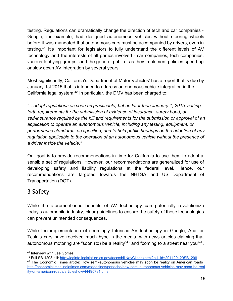testing. Regulations can dramatically change the direction of tech and car companies Google, for example, had designed autonomous vehicles without steering wheels before it was mandated that autonomous cars must be accompanied by drivers, even in testing. $41$  It's important for legislators to fully understand the different levels of AV technology and the interests of all parties involved - car companies, tech companies, various lobbying groups, and the general public - as they implement policies speed up or slow down AV integration by several years.

Most significantly, California's Department of Motor Vehicles' has a report that is due by January 1st 2015 that is intended to address autonomous vehicle integration in the California legal system. $42$  In particular, the DMV has been charged to:

*"…adopt regulations as soon as practicable, but no later than January 1, 2015, setting forth requirements for the submission of evidence of insurance, surety bond, or selfinsurance required by the bill and requirements for the submission or approval of an application to operate an autonomous vehicle, including any testing, equipment, or performance standards, as specified, and to hold public hearings on the adoption of any regulation applicable to the operation of an autonomous vehicle without the presence of a driver inside the vehicle."*

Our goal is to provide recommendations in time for California to use them to adopt a sensible set of regulations. However, our recommendations are generalized for use of developing safety and liability regulations at the federal level. Hence, our recommendations are targeted towards the NHTSA and US Department of Transportation (DOT).

# 3 Safety

While the aforementioned benefits of AV technology can potentially revolutionize today's automobile industry, clear guidelines to ensure the safety of these technologies can prevent unintended consequences.

While the implementation of seemingly futuristic AV technology in Google, Audi or Tesla's cars have received much hype in the media, with news articles claiming that autonomous motoring are "soon (to) be a reality"<sup>43</sup> and "coming to a street near you"<sup>44</sup>,

<sup>41</sup> Interview with Lee Gomes.

<sup>42</sup> Full SB1298 bill: [http://leginfo.legislature.ca.gov/faces/billNavClient.xhtml?bill\\_id=201120120SB1298](http://www.google.com/url?q=http%3A%2F%2Fleginfo.legislature.ca.gov%2Ffaces%2FbillNavClient.xhtml%3Fbill_id%3D201120120SB1298&sa=D&sntz=1&usg=AFQjCNE-mf8ZrlnrJYzuwa-rUj1QPuLHVg)

<sup>&</sup>lt;sup>43</sup> The Economic Times article: How semi-autonomous vehicles may soon be reality on American roads http://economictimes.indiatimes.com/magazines/panache/how-semi-autonomous-vehicles-may-soon-be-real ity-on-american-roads/articleshow/44495781.cms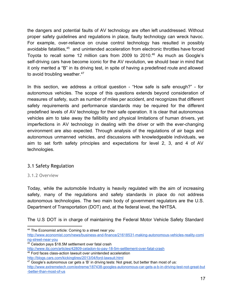the dangers and potential faults of AV technology are often left unaddressed. Without proper safety guidelines and regulations in place, faulty technology can wreck havoc. For example, over-reliance on cruise control technology has resulted in possibly avoidable fatalities,<sup>45</sup> and unintended acceleration from electronic throttles have forced Toyota to recall some 12 million cars from 2009 to  $2010<sup>46</sup>$  As much as Google's self-driving cars have become iconic for the AV revolution, we should bear in mind that it only merited a "B" in its driving test, in spite of having a predefined route and allowed to avoid troubling weather.<sup>47</sup>

In this section, we address a critical question - "How safe is safe enough?" - for autonomous vehicles. The scope of this questions extends beyond consideration of measures of safety, such as number of miles per accident, and recognizes that different safety requirements and performance standards may be required for the different predefined levels of AV technology for their safe operation. It is clear that autonomous vehicles aim to take away the fallibility and physical limitations of human drivers, yet imperfections in AV technology in dealing with the driver or with the ever-changing environment are also expected. Through analysis of the regulations of air bags and autonomous unmanned vehicles, and discussions with knowledgeable individuals, we aim to set forth safety principles and expectations for level 2, 3, and 4 of AV technologies.

## 3.1 Safety Regulation

#### 3.1.2 Overview

Today, while the automobile Industry is heavily regulated with the aim of increasing safety, many of the regulations and safety standards in place do not address autonomous technologies. The two main body of government regulators are the U.S. Department of Transportation (DOT) and, at the federal level, the NHTSA.

The U.S DOT is in charge of maintaining the Federal Motor Vehicle Safety Standard

<sup>44</sup> The Economist article: Coming to a street near you

http://www.economist.com/news/business-and-finance/21618531-making-autonomous-vehicles-reality-comi ng-street-near-you

<sup>45</sup> Celadon pays \$18.5M settlement over fatal crash

http://www.ibj.com/articles/42809-celadon-to-pay-18-5m-settlement-over-fatal-crash

<sup>46</sup> Ford faces class-action lawsuit over unintended acceleration

http://blogs.cars.com/kickingtires/2013/04/ford-lawsuit.html

 $47$  Google's autonomous car gets a 'B' in driving tests: Not great, but better than most of us: http://www.extremetech.com/extreme/187438-googles-autonomous-car-gets-a-b-in-driving-test-not-great-but -better-than-most-of-us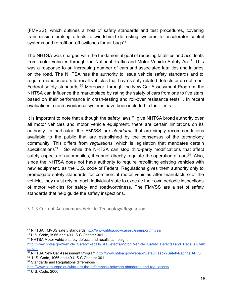(FMVSS), which outlines a host of safety standards and test procedures, covering transmission braking effects to windshield defrosting systems to accelerator control systems and retrofit on-off switches for air bags $48$ .

The NHTSA was charged with the fundamental goal of reducing fatalities and accidents from motor vehicles through the National Traffic and Motor Vehicle Safety Act<sup>49</sup>. This was a response to an increasing number of cars and associated fatalities and injuries on the road. The NHTSA has the authority to issue vehicle safety standards and to require manufacturers to recall vehicles that have safety-related defects or do not meet Federal safety standards.<sup>50</sup> Moreover, through the New Car Assessment Program, the NHTSA can influence the marketplace by rating the safety of cars from one to five stars based on their performance in crash-testing and roll-over resistance tests<sup>51</sup>. In recent evaluations, crash avoidance systems have been included in their tests.

It is important to note that although the safety laws<sup>52</sup> give NHTSA broad authority over all motor vehicles and motor vehicle equipment, there are certain limitations on its authority. In particular, the FMVSS are *standards* that are simply recommendations available to the public that are established by the consensus of the technology community. This differs from *regulations*, which is legislation that mandates certain specifications<sup>53</sup>. So while the NHTSA can stop third-party modifications that affect safety aspects of automobiles, it cannot directly regulate the operation of cars<sup>54</sup>. Also, since the NHTSA does not have authority to require retrofitting existing vehicles with new equipment, as the U.S. code of Federal Regulations gives them authority only to promulgate safety standards for commercial motor vehicles after manufacture of the vehicle, they must rely on each individual state to execute their own periodic inspections of motor vehicles for safety and roadworthiness. The FMVSS are a set of safety standards that help guide the safety inspections.

3.1.3 Current Autonomous Vehicle Technology Regulation

http://www.alueurope.eu/what-are-the-differences-between-standards-and-regulations/

<sup>48</sup> NHTSA FMVSS safety standards [http://www.nhtsa.gov/cars/rules/import/fmvss/](http://www.google.com/url?q=http%3A%2F%2Fwww.nhtsa.gov%2Fcars%2Frules%2Fimport%2Ffmvss%2F&sa=D&sntz=1&usg=AFQjCNFVFhMFRM0adBcghJLe35HcMurHiQ)

<sup>49</sup> U.S. Code, 1966 and 49 U.S.C Chapter 301

<sup>50</sup> NHTSA Motor vehicle safety defects and recalls campaigns

[http://www.nhtsa.gov/Vehicle+Safety/Recalls+&+Defects/Motor+Vehicle+Safety+Defects+and+Recalls+Cam](http://www.google.com/url?q=http%3A%2F%2Fwww.nhtsa.gov%2FVehicle%2BSafety%2FRecalls%2B%26%2BDefects%2FMotor%2BVehicle%2BSafety%2BDefects%2Band%2BRecalls%2BCampaigns&sa=D&sntz=1&usg=AFQjCNFnc6XQdITbfjtW912Rgb1Yw0__Pg) [paigns](http://www.google.com/url?q=http%3A%2F%2Fwww.nhtsa.gov%2FVehicle%2BSafety%2FRecalls%2B%26%2BDefects%2FMotor%2BVehicle%2BSafety%2BDefects%2Band%2BRecalls%2BCampaigns&sa=D&sntz=1&usg=AFQjCNFnc6XQdITbfjtW912Rgb1Yw0__Pg)

<sup>51</sup> NHTSA New Car Assessment Program [http://www.nhtsa.gov/webapi/Default.aspx?SafetyRatings/API/5](http://www.google.com/url?q=http%3A%2F%2Fwww.nhtsa.gov%2Fwebapi%2FDefault.aspx%3FSafetyRatings%2FAPI%2F5&sa=D&sntz=1&usg=AFQjCNH_1sJsbwUOhdLgW_adhRhhTMyMjg)

<sup>52</sup> U.S. Code, 1966 and 49 U.S.C Chapter 301

<sup>53</sup> Standards and Regulations differences

<sup>54</sup> U.S. Code, 2006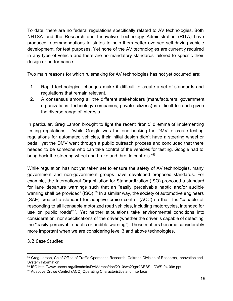To date, there are no federal regulations specifically related to AV technologies. Both NHTSA and the Research and Innovative Technology Administration (RITA) have produced recommendations to states to help them better oversee self-driving vehicle development, for test purposes. Yet none of the AV technologies are currently required in any type of vehicle and there are no mandatory standards tailored to specific their design or performance.

Two main reasons for which rulemaking for AV technologies has not yet occurred are:

- 1. Rapid technological changes make it difficult to create a set of standards and regulations that remain relevant.
- 2. A consensus among all the different stakeholders (manufacturers, government organizations, technology companies, private citizens) is difficult to reach given the diverse range of interests.

In particular, Greg Larson brought to light the recent "ironic" dilemma of implementing testing regulations "while Google was the one backing the DMV to create testing regulations for automated vehicles, their initial design didn't have a steering wheel or pedal, yet the DMV went through a public outreach process and concluded that there needed to be someone who can take control of the vehicles for testing. Google had to bring back the steering wheel and brake and throttle controls."<sup>55</sup>

While regulation has not yet taken set to ensure the safety of AV technologies, many government and non-government groups have developed proposed standards. For example, the International Organization for Standardization (ISO) proposed a standard for lane departure warnings such that an "easily perceivable haptic and/or audible warning shall be provided" (ISO).<sup>56</sup> In a similar way, the society of automotive engineers (SAE) created a standard for adaptive cruise control (ACC) so that it is "capable of responding to all licensable motorized road vehicles, including motorcycles, intended for use on public roads"<sup>57</sup>. Yet neither stipulations take environmental conditions into consideration, nor specifications of the driver (whether the driver is capable of detecting the "easily perceivable haptic or audible warning"). These matters become considerably more important when we are considering level 3 and above technologies.

## 3.2 Case Studies

<sup>55</sup> Greg Larson, Chief Office of Traffic Operations Research, Caltrans Division of Research, Innovation and System Information

<sup>56</sup> ISO http://www.unece.org/fileadmin/DAM/trans/doc/2010/wp29grrf/AEBS-LDWS-04-09e.ppt

<sup>57</sup> Adaptive Cruise Control (ACC) Operating Characteristics and Interface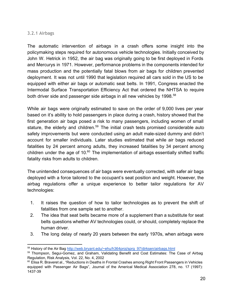#### 3.2.1 Airbags

The automatic intervention of airbags in a crash offers some insight into the policymaking steps required for autonomous vehicle technologies. Initially conceived by John W. Hetrick in 1952, the air bag was originally going to be first deployed in Fords and Mercurys in 1971. However, performance problems in the components intended for mass production and the potentially fatal blows from air bags for children prevented deployment. It was not until 1990 that legislation required all cars sold in the US to be equipped with either air bags or automatic seat belts. In 1991, Congress enacted the Intermodal Surface Transportation Efficiency Act that ordered the NHTSA to require both driver side and passenger side airbags in all new vehicles by 1998.<sup>58</sup>

While air bags were originally estimated to save on the order of 9,000 lives per year based on it's ability to hold passengers in place during a crash, history showed that the first generation air bags posed a risk to many passengers, including women of small stature, the elderly and children.<sup>59</sup> The initial crash tests promised considerable auto safety improvements but were conducted using an adult male-sized dummy and didn't account for smaller individuals. Later studies estimated that while air bags reduced fatalities by 24 percent among adults, they increased fatalities by 34 percent among children under the age of 10. $60$  The implementation of airbags essentially shifted traffic fatality risks from adults to children.

The unintended consequences of air bags were eventually corrected, with safer air bags deployed with a force tailored to the occupant's seat position and weight. However, the airbag regulations offer a unique experience to better tailor regulations for AV technologies:

- 1. It raises the question of how to tailor technologies as to prevent the shift of fatalities from one sample set to another.
- 2. The idea that seat belts became more of a supplement than a substitute for seat belts questions whether AV technologies could, or should, completely replace the human driver.
- 3. The long delay of nearly 20 years between the early 1970s, when airbags were

<sup>58</sup> History of the Air Bag [http://web.bryant.edu/~ehu/h364proj/sprg\\_97/dirksen/airbags.html](http://www.google.com/url?q=http%3A%2F%2Fweb.bryant.edu%2F~ehu%2Fh364proj%2Fsprg_97%2Fdirksen%2Fairbags.html&sa=D&sntz=1&usg=AFQjCNHIK5SfJxNYa4ohFQ31aZtJ7sIqXw)

<sup>59</sup> Thompson, Segui-Gomez, and Graham, Validating Benefit and Cost Estimates: The Case of Airbag Regulation, Risk Analysis, Vol. 22, No. 4, 2002

<sup>&</sup>lt;sup>60</sup> Elisa R. Braveret al., "Reductions in Deaths in Frontal Crashes among Right Front Passengers in Vehicles equipped with Passenger Air Bags", Journal of the Americal Medical Association 278, no. 17 (1997): 1437-39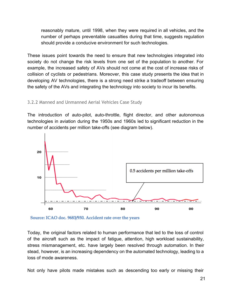reasonably mature, until 1998, when they were required in all vehicles, and the number of perhaps preventable casualties during that time, suggests regulation should provide a conducive environment for such technologies.

These issues point towards the need to ensure that new technologies integrated into society do not change the risk levels from one set of the population to another. For example, the increased safety of AVs should not come at the cost of increase risks of collision of cyclists or pedestrians. Moreover, this case study presents the idea that in developing AV technologies, there is a strong need strike a tradeoff between ensuring the safety of the AVs and integrating the technology into society to incur its benefits.

#### 3.2.2 Manned and Unmanned Aerial Vehicles Case Study

The introduction of auto-pilot, auto-throttle, flight director, and other autonomous technologies in aviation during the 1950s and 1960s led to significant reduction in the number of accidents per million take-offs (see diagram below).



Source: ICAO doc. 9683/950. Accident rate over the years

Today, the original factors related to human performance that led to the loss of control of the aircraft such as the impact of fatigue, attention, high workload sustainability, stress mismanagement, etc. have largely been resolved through automation. In their stead, however, is an increasing dependency on the automated technology, leading to a loss of mode awareness.

Not only have pilots made mistakes such as descending too early or missing their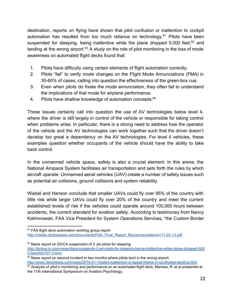destination, reports on flying have shown that pilot confusion or inattention to cockpit automation has resulted from too much reliance on technology.<sup>61</sup> Pilots have been suspended for sleeping, being inattentive while the plane dropped  $5,000$  feet,<sup>62</sup> and landing at the wrong airport. $63$  A study on the role of pilot monitoring in the loss of mode awareness on automated flight decks found that:

- 1. Pilots have difficulty using certain elements of flight automation correctly.
- 2. Pilots "fail" to verify mode changes on the Flight Mode Annunciations (FMA) in 30-60% of cases, calling into question the effectiveness of the green-box cue.
- 3. Even when pilots do fixate the mode annunciation, they often fail to understand the implications of that mode for airplane performance.
- 4. Pilots have shallow knowledge of automation concepts.<sup>64</sup>

These issues certainly call into question the use of AV technologies below level 4, where the driver is still largely in control of the vehicle or responsible for taking control when problems arise. In particular, there is a strong need to address how the operator of the vehicle and the AV technologies can work together such that the driver doesn't develop too great a dependency on the AV technologies. For level 4 vehicles, these examples question whether occupants of the vehicle should have the ability to take back control.

In the unmanned vehicle space, safety is also a crucial element. In this arena, the National Airspace System facilitates air transportation and sets forth the rules by which aircraft operate. Unmanned aerial vehicles (UAV) create a number of safety issues such as potential air collisions, ground collisions and system reliability.

Wiebel and Hanson conclude that smaller UAVs could fly over 95% of the country with little risk while larger UAVs could fly over 20% of the country and meet the current established levels of risk if the vehicles could operate around 100,000 hours between accidents, the current standard for aviation safety. According to testimoney from Nancy Kalimnowski, FAA Vice President for System Operations Services, "the Custom Border

<sup>&</sup>lt;sup>61</sup> FAA flight deck automation working group report http://media.nbcbayarea.com/documents/FAA\_Final\_Report\_Recommendations+11-22-13.pdf

 $62$  News report on DGCA suspension of 2 Jet pilots for sleeping http://ibnlive.in.com/news/dgca-suspends-2-jet-pilots-for-sleeping-being-inattentive-while-plane-dropped-500 0-feet/492107-3.html

 $63$  News report on second incident in two months where pilots land in the wrong airport. http://www.bloomberg.com/news/2014-01-14/pilot-inattention-a-repeat-theme-in-southwest-landing.html

<sup>&</sup>lt;sup>64</sup> Analysis of pilot's monitoring and performance on an automated flight deck, Mamaw, R. et al presented at the 11th International Symposium on Aviation Psychology.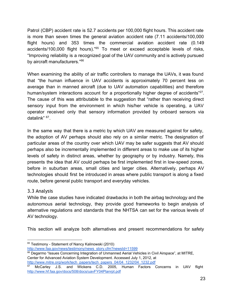Patrol (CBP) accident rate is 52.7 accidents per 100,000 flight hours. This accident rate is more than seven times the general aviation accident rate (7.11 accidents/100,000 flight hours) and 353 times the commercial aviation accident rate (0.149 accidents/100,000 flight hours)."<sup>65</sup> To meet or exceed acceptable levels of risks, "Improving reliability is a recognized goal of the UAV community and is actively pursued by aircraft manufacturers."<sup>66</sup>

When examining the ability of air traffic controllers to manage the UAVs, it was found that "the human influence in UAV accidents is approximately 70 percent less on average than in manned aircraft (due to UAV automation capabilities) and therefore human/system interactions account for a proportionally higher degree of accidents"<sup>27</sup>. The cause of this was attributable to the suggestion that "rather than receiving direct sensory input from the environment in which his/her vehicle is operating, a UAV operator received only that sensory information provided by onboard sensors via datalink" <sup>67</sup>.

In the same way that there is a metric by which UAV are measured against for safety, the adoption of AV perhaps should also rely on a similar metric. The designation of particular areas of the country over which UAV may be safer suggests that AV should perhaps also be incrementally implemented in different areas to make use of its higher levels of safety in distinct areas, whether by geography or by industry. Namely, this presents the idea that AV could perhaps be first implemented first in lowspeed zones, before in suburban areas, small cities and larger cities. Alternatively, perhaps AV technologies should first be introduced in areas where public transport is along a fixed route, before general public transport and everyday vehicles.

#### 3.3 Analysis

While the case studies have indicated drawbacks in both the airbag technology and the autonomous aerial technology, they provide good frameworks to begin analysis of alternative regulations and standards that the NHTSA can set for the various levels of AV technology.

This section will analyze both alternatives and present recommendations for safety

[http://www.mitre.org/work/tech\\_papers/tech\\_papers\\_04/04\\_1232/04\\_1232.pdf](http://www.google.com/url?q=http%3A%2F%2Fwww.mitre.org%2Fwork%2Ftech_papers%2Ftech_papers_04%2F04_1232%2F04_1232.pdf&sa=D&sntz=1&usg=AFQjCNHAg3YLqRVTrSxswh-lNf7yUgc9Lg)

<sup>&</sup>lt;sup>65</sup> Testimony - Statement of Nancy Kalinowski (2010)

[http://www.faa.gov/news/testimony/news\\_story.cfm?newsId=11599](http://www.google.com/url?q=http%3A%2F%2Fwww.faa.gov%2Fnews%2Ftestimony%2Fnews_story.cfm%3FnewsId%3D11599&sa=D&sntz=1&usg=AFQjCNGy_BmsEU7_UARTyzBFbYIXPlfggA)

<sup>&</sup>lt;sup>66</sup> Degarmo "Issues Concerning Integration of Unmanned Aerial Vehicles in Civil Airspace", at MITRE, Center for Advanced Aviation System Development. Accessed July 1, 2012, at

<sup>&</sup>lt;sup>67</sup> McCarley J.S. and Wickens C.D. 2005, Human Factors Concerns in UAV flight [http://www.hf.faa.gov/docs/508/docs/uavFY04Planrpt.pdf](http://www.google.com/url?q=http%3A%2F%2Fwww.hf.faa.gov%2Fdocs%2F508%2Fdocs%2FuavFY04Planrpt.pdf&sa=D&sntz=1&usg=AFQjCNE5kxciyecWohbFi1hkAmVw0y7OUw)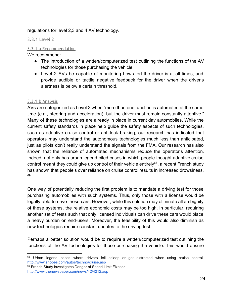#### regulations for level 2,3 and 4 AV technology.

3.3.1 Level 2

#### 3.3.1.a Recommendation

We recommend:

- The introduction of a written/computerized test outlining the functions of the AV technologies for those purchasing the vehicle.
- Level 2 AVs be capable of monitoring how alert the driver is at all times, and provide audible or tactile negative feedback for the driver when the driver's alertness is below a certain threshold.

#### 3.3.1.b Analysis

AVs are categorized as Level 2 when "more than one function is automated at the same time (e.g., steering and acceleration), but the driver must remain constantly attentive." Many of these technologies are already in place in current day automobiles. While the current safety standards in place help guide the safety aspects of such technologies, such as adaptive cruise control or anti-lock braking, our research has indicated that operators may understand the autonomous technologies much less than anticipated, just as pilots don't really understand the signals from the FMA. Our research has also shown that the reliance of automated mechanisms reduce the operator's attention. Indeed, not only has urban legend cited cases in which people thought adaptive cruise control meant they could give up control of their vehicle entirely<sup>68</sup>, a recent French study has shown that people's over reliance on cruise control results in increased drowsiness. 69

One way of potentially reducing the first problem is to mandate a driving test for those purchasing automobiles with such systems. Thus, only those with a license would be legally able to drive these cars. However, while this solution may eliminate all ambiguity of these systems, the relative economic costs may be too high. In particular, requiring another set of tests such that only licensed individuals can drive these cars would place a heavy burden on end-users. Moreover, the feasibility of this would also diminish as new technologies require constant updates to the driving test.

Perhaps a better solution would be to require a written/computerized test outlining the functions of the AV technologies for those purchasing the vehicle. This would ensure

69 French Study investigates Danger of Speed Limit Fixation [http://www.thenewspaper.com/news/42/4212.asp](http://www.google.com/url?q=http%3A%2F%2Fwww.thenewspaper.com%2Fnews%2F42%2F4212.asp&sa=D&sntz=1&usg=AFQjCNEmDglUkwZ-piQYRO1euJojLlzz8Q)

<sup>&</sup>lt;sup>68</sup> Urban legend cases where drivers fell asleep or got distracted when using cruise control [http://www.snopes.com/autos/techno/cruise.asp](http://www.google.com/url?q=http%3A%2F%2Fwww.snopes.com%2Fautos%2Ftechno%2Fcruise.asp&sa=D&sntz=1&usg=AFQjCNGG_RTsi5iwSdNyeFYeA5qWNLlRnQ)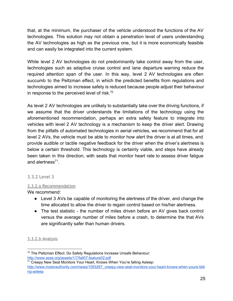that, at the minimum, the purchaser of the vehicle understood the functions of the AV technologies. This solution may not obtain a penetration level of users understanding the AV technologies as high as the previous one, but it is more economically feasible and can easily be integrated into the current system.

While level 2 AV technologies do not predominantly take control away from the user, technologies such as adaptive cruise control and lane departure warning reduce the required attention span of the user. In this way, level 2 AV technologies are often succumb to the Peltzman effect, in which the predicted benefits from regulations and technologies aimed to increase safety is reduced because people adjust their behaviour in response to the perceived level of risk.<sup>70</sup>

As level 2 AV technologies are unlikely to substantially take over the driving functions, if we assume that the driver understands the limitations of the technology using the aforementioned recommendation, perhaps an extra safety feature to integrate into vehicles with level 2 AV technology is a mechanism to keep the driver alert. Drawing from the pitfalls of automated technologies in aerial vehicles, we recommend that for all level 2 AVs, the vehicle must be able to monitor how alert the driver is at all times, and provide audible or tactile negative feedback for the driver when the driver's alertness is below a certain threshold. This technology is certainly viable, and steps have already been taken in this direction, with seats that monitor heart rate to assess driver fatigue and alertness $^{71}$ .

#### 3.3.2 Level 3

#### 3.3.2.a Recommendation

We recommend:

- Level 3 AVs be capable of monitoring the alertness of the driver, and change the time allocated to allow the driver to regain control based on his/her alertness.
- The test statistic the number of miles driven before an AV gives back control versus the average number of miles before a crash, to determine the that AVs are significantly safer than human drivers.

#### 3.3.2.b Analysis

<sup>70</sup> The Peltzman Effect: Do Safety Regulations Increase Unsafe Behaviour: http://www.asse.org/assets/1/7/fall07-feature02.pdf

<sup>&</sup>lt;sup>71</sup> Creepy New Seat Monitors Your Heart, Knows When You're falling Asleep: http://www.motorauthority.com/news/1093267\_creepy-new-seat-monitors-your-heart-knows-when-youre-falli ng-asleep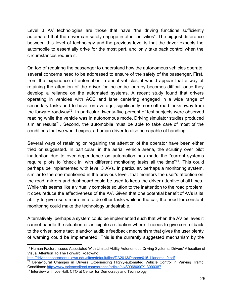Level 3 AV technologies are those that have "the driving functions sufficiently automated that the driver can safely engage in other activities". The biggest difference between this level of technology and the previous level is that the driver expects the automobile to essentially drive for the most part, and only take back control when the circumstances require it.

On top of requiring the passenger to understand how the autonomous vehicles operate, several concerns need to be addressed to ensure of the safety of the passenger. First, from the experience of automation in aerial vehicles, it would appear that a way of retaining the attention of the driver for the entire journey becomes difficult once they develop a reliance on the automated systems. A recent study found that drivers operating in vehicles with ACC and lane centering engaged in a wide range of secondary tasks and to have, on average, significantly more off-road looks away from the forward roadway<sup>72</sup>. In particular, twenty-five percent of test subjects were observed reading while the vehicle was in autonomous mode. Driving simulator studies produced similar results<sup>73</sup>. Second, the automobile must be able to take care of most of the conditions that we would expect a human driver to also be capable of handling.

Several ways of retaining or regaining the attention of the operator have been either tried or suggested. In particular, in the aerial vehicle arena, the scrutiny over pilot inattention due to over dependence on automation has made the "current systems require pilots to 'check in' with different monitoring tasks all the time $^{774}$ . This could perhaps be implemented with level 3 AVs. In particular, perhaps a monitoring system, similar to the one mentioned in the previous level, that monitors the user's attention on the road, mirrors and dashboard could be used to keep the driver attentive at all times. While this seems like a virtually complete solution to the inattention to the road problem, it does reduce the effectiveness of the AV. Given that one potential benefit of AVs is its ability to give users more time to do other tasks while in the car, the need for constant monitoring could make the technology undesirable.

Alternatively, perhaps a system could be implemented such that when the AV believes it cannot handle the situation or anticipate a situation where it needs to give control back to the driver, some tactile and/or audible feedback mechanism that gives the user plenty of warning could be implemented. This is the currently suggested mechanism by the

<sup>72</sup> Human Factors Issues Associated With Limited Ability Autonomous Driving Systems: Drivers' Allocation of Visual Attention To The Forward Roadway:

[http://drivingassessment.uiowa.edu/sites/default/files/DA2013/Papers/015\\_Llaneras\\_0.pdf](http://www.google.com/url?q=http%3A%2F%2Fdrivingassessment.uiowa.edu%2Fsites%2Fdefault%2Ffiles%2FDA2013%2FPapers%2F015_Llaneras_0.pdf&sa=D&sntz=1&usg=AFQjCNHXx2BGWs_8xaBfbNFwBCDN9CnsjA)

 $73$  Behavioural Changes in Drivers Experiencing Highly-automated Vehicle Control in Varying Traffic Conditions: [http://www.sciencedirect.com/science/article/pii/S0968090X13000387](http://www.google.com/url?q=http%3A%2F%2Fwww.sciencedirect.com%2Fscience%2Farticle%2Fpii%2FS0968090X13000387&sa=D&sntz=1&usg=AFQjCNF08e9cjyGpxAtMWjC5sdGP6EfNfQ)

<sup>&</sup>lt;sup>74</sup> Interview with Joe Hall, CTO at Center for Democracy and Technology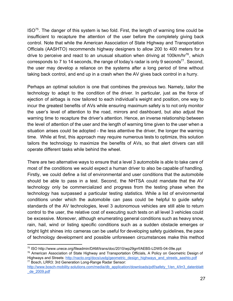$ISO<sup>75</sup>$ . The danger of this system is two fold. First, the length of warning time could be insufficient to recapture the attention of the user before the completely giving back control. Note that while the American Association of State Highway and Transportation Officials (AASHTO) recommends highway designers to allow 200 to 400 meters for a drive to perceive and react to an unusual situation when driving at 100km/hr<sup>76</sup>, which corresponds to 7 to 14 seconds, the range of today's radar is only 9 seconds<sup>77</sup>. Second, the user may develop a reliance on the systems after a long period of time without taking back control, and end up in a crash when the AV gives back control in a hurry.

Perhaps an optimal solution is one that combines the previous two. Namely, tailor the technology to adapt to the condition of the driver. In particular, just as the force of ejection of airbags is now tailored to each individual's weight and position, one way to incur the greatest benefits of AVs while ensuring maximum safety is to not only monitor the user's level of attention to the road, mirrors and dashboard, but also adjust the warning time to recapture the driver's attention. Hence, an inverse relationship between the level of attention of the user and the length of warning time given to the user when a situation arises could be adopted - the less attentive the driver, the longer the warning time. While at first, this approach may require numerous tests to optimize, this solution tailors the technology to maximize the benefits of AVs, so that alert drivers can still operate different tasks while behind the wheel.

There are two alternative ways to ensure that a level 3 automobile is able to take care of most of the conditions we would expect a human driver to also be capable of handling. Firstly, we could define a list of environmental and user conditions that the automobile should be able to pass in a test. Second, the NHTSA could mandate that the AV technology only be commercialized and progress from the testing phase when the technology has surpassed a particular testing statistics. While a list of environmental conditions under which the automobile can pass could be helpful to guide safety standards of the AV technologies, level 3 autonomous vehicles are still able to return control to the user, the relative cost of executing such tests on all level 3 vehicles could be excessive. Moreover, although enumerating general conditions such as heavy snow, rain, hail, wind or listing specific conditions such as a sudden obstacle emerges or bright light shines into cameras can be useful for developing safety guidelines, the pace of technology development and possible unforeseen circumstances make this method

<sup>&</sup>lt;sup>75</sup> ISO http://www.unece.org/fileadmin/DAM/trans/doc/2010/wp29grrf/AEBS-LDWS-04-09e.ppt

<sup>76</sup> American Association of State Highway and Transportation Officials, A Policy on Geometric Design of Highways and Streets: [http://nacto.org/docs/usdg/geometric\\_design\\_highways\\_and\\_streets\\_aashto.pdf](http://www.google.com/url?q=http%3A%2F%2Fnacto.org%2Fdocs%2Fusdg%2Fgeometric_design_highways_and_streets_aashto.pdf&sa=D&sntz=1&usg=AFQjCNGRQllgLJ1nAdrlgAKicPsgYLo__Q) <sup>77</sup> Bosch, LRR3: 3rd Generation Long-Range Radar Sensor:

http://www.bosch-mobility-solutions.com/media/db\_application/downloads/pdf/safety\_1/en\_4/lrr3\_datenblatt [\\_de\\_2009.pdf](http://www.google.com/url?q=http%3A%2F%2Fwww.bosch-mobility-solutions.com%2Fmedia%2Fdb_application%2Fdownloads%2Fpdf%2Fsafety_1%2Fen_4%2Flrr3_datenblatt_de_2009.pdf&sa=D&sntz=1&usg=AFQjCNGYQi_7g4yUIhrZylCIdkn1MSsxNg)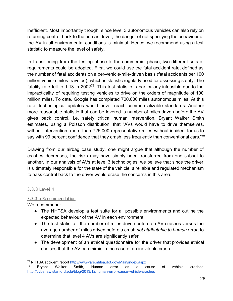inefficient. Most importantly though, since level 3 autonomous vehicles can also rely on returning control back to the human driver, the danger of not specifying the behaviour of the AV in all environmental conditions is minimal. Hence, we recommend using a test statistic to measure the level of safety.

In transitioning from the testing phase to the commercial phase, two different sets of requirements could be adopted. First, we could use the fatal accident rate, defined as the number of fatal accidents on a per-vehicle-mile-driven basis (fatal accidents per 100 million vehicle miles traveled), which is statistic regularly used for assessing safety. The fatality rate fell to 1.13 in 2002<sup>78</sup>. This test statistic is particularly infeasible due to the impracticality of requiring testing vehicles to drive on the orders of magnitude of 100 million miles. To date, Google has completed 700,000 miles autonomous miles. At this rate, technological updates would never reach commercializable standards. Another more reasonable statistic that can be levered is number of miles driven before the AV gives back control, i.e. safety critical human intervention. Bryant Walker Smith estimates, using a Poisson distribution, that "AVs would have to drive themselves, without intervention, more than 725,000 representative miles without incident for us to say with 99 percent confidence that they crash less frequently than conventional cars."79

Drawing from our airbag case study, one might argue that although the number of crashes decreases, the risks may have simply been transferred from one subset to another. In our analysis of AVs at level 3 technologies, we believe that since the driver is ultimately responsible for the state of the vehicle, a reliable and regulated mechanism to pass control back to the driver would erase the concerns in this area.

#### 3.3.3 Level 4

#### 3.3.3.a Recommendation

We recommend:

- The NHTSA develop a test suite for all possible environments and outline the expected behaviour of the AV in each environment.
- The test statistic the number of miles driven before an AV crashes versus the average number of miles driven before a crash *not attributable to human error*, to determine that level 4 AVs are significantly safer.
- The development of an ethical questionnaire for the driver that provides ethical choices that the AV can mimic in the case of an inevitable crash.

<sup>78</sup> NHTSA accident report [http://wwwfars.nhtsa.dot.gov/Main/index.aspx](http://www.google.com/url?q=http%3A%2F%2Fwww-fars.nhtsa.dot.gov%2FMain%2Findex.aspx&sa=D&sntz=1&usg=AFQjCNGS_Hy23uiHTmwdkr-XowXRuDfj4Q)

<sup>&</sup>lt;sup>79</sup> Bryant Walker Smith, Human error as a cause of vehicle crashes http://cyberlaw.stanford.edu/blog/2013/12/human-error-cause-vehicle-crashes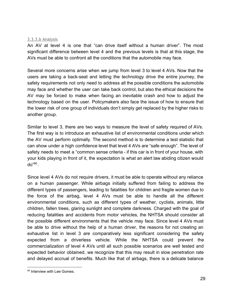#### 3.3.3.b Analysis

An AV at level 4 is one that "can drive itself without a human driver". The most significant difference between level 4 and the previous levels is that at this stage, the AVs must be able to confront all the conditions that the automobile may face.

Several more concerns arise when we jump from level 3 to level 4 AVs. Now that the users are taking a back-seat and letting the technology drive the entire journey, the safety requirements not only need to address all the possible conditions the automobile may face and whether the user can take back control, but also the ethical decisions the AV may be forced to make when facing an inevitable crash and how to adjust the technology based on the user. Policymakers also face the issue of how to ensure that the lower risk of one group of individuals don't simply get replaced by the higher risks to another group.

Similar to level 3, there are two ways to measure the level of safety required of AVs. The first way is to introduce an exhaustive list of environmental conditions under which the AV must perform optimally. The second method is to determine a test statistic that can show under a high confidence level that level 4 AVs are "safe enough". The level of safety needs to meet a "common sense criteria - if this car is in front of your house, with your kids playing in front of it, the expectation is what an alert law abiding citizen would do"<sup>80</sup>.

Since level 4 AVs do not require drivers, it must be able to operate without any reliance on a human passenger. While airbags initially suffered from failing to address the different types of passengers, leading to fatalities for children and fragile women due to the force of the airbag, level 4 AVs must be able to handle all the different environmental conditions, such as different types of weather, cyclists, animals, little children, fallen trees, glaring sunlight and complete darkness. Charged with the goal of reducing fatalities and accidents from motor vehicles, the NHTSA should consider all the possible different environments that the vehicle may face. Since level 4 AVs must be able to drive without the help of a human driver, the reasons for not creating an exhaustive list in level 3 are comparatively less significant considering the safety expected from a driverless vehicle. While the NHTSA could prevent the commercialization of level 4 AVs until all such possible scenarios are well tested and expected behavior obtained, we recognize that this may result in slow penetration rate and delayed accrual of benefits. Much like that of airbags, there is a delicate balance

<sup>&</sup>lt;sup>80</sup> Interview with Lee Gomes.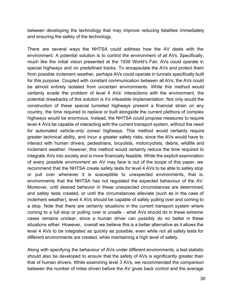between developing the technology that may improve reducing fatalities immediately and ensuring the safety of the technology.

There are several ways the NHTSA could address how the AV deals with the environment. A potential solution is to control the environment of all AVs. Specifically, much like the initial vision presented at the 1939 World's Fair, AVs could operate in special highways and on predefined tracks. To encapsulate the AVs and protect them from possible inclement weather, perhaps AVs could operate in tunnels specifically built for this purpose. Coupled with constant communication between all AVs, the AVs could be almost entirely isolated from uncertain environments. While this method would certainly evade the problem of level 4 AVs' interactions with the environment, the potential drawbacks of this solution is it's infeasible implementation. Not only would the construction of these special tunneled highways present a financial strain on any country, the time required to replace or built alongside the current plethora of complex highways would be enormous. Instead, the NHTSA could propose measures to require level 4 AVs be capable of interacting with the current transport system, without the need for automated vehicle-only zones/ highways. This method would certainly require greater technical ability, and incur a greater safety risks, since the AVs would have to interact with human drivers, pedestrians, bicyclists, motorcyclists, debris, wildlife and inclement weather. However, this method would certainly reduce the time required to integrate AVs into society and is more financially feasible. While the explicit examination of every possible environment an AV may face is out of the scope of this paper, we recommend that the NHTSA create safety tests for level 4 AVs to be able to safely stop or pull over whenever it is susceptible to unexpected environments, that is, environments that the NHTSA has not regulated the expected behaviour of the AV. Moreover, until desired behavior in these unexpected circumstances are determined, and safety tests created, or until the circumstances alleviate (such as in the case of inclement weather), level 4 AVs should be capable of safely pulling over and coming to a stop. Note that there are certainly situations in the current transport system where coming to a full stop or pulling over is unsafe - what AVs should do in these extreme cases remains unclear, since a human driver can possibly do no better in these situations either. However, overall we believe this is a better alternative as it allows the level 4 AVs to be integrated as quickly as possible, even while not all safety tests for different environments are created, while maintaining a high level of safety.

Along with specifying the behaviour of AVs under different environments, a test statistic should also be developed to ensure that the safety of AVs is significantly greater than that of human drivers. While examining level 3 AVs, we recommended the comparison between the number of miles driven before the AV gives back control and the average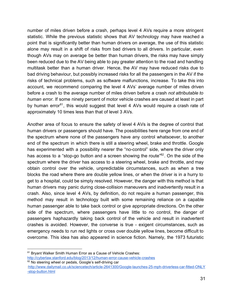number of miles driven before a crash, perhaps level 4 AVs require a more stringent statistic. While the previous statistic shows that AV technology may have reached a point that is significantly better than human drivers on average, the use of this statistic alone may result in a shift of risks from bad drivers to all drivers. In particular, even though AVs may on average be better than human drivers, the risks may have simply been reduced due to the AV being able to pay greater attention to the road and handling multitask better than a human driver. Hence, the AV may have reduced risks due to bad driving behaviour, but possibly increased risks for all the passengers in the AV if the risks of technical problems, such as software malfunctions, increase. To take this into account, we recommend comparing the level 4 AVs' average number of miles driven before a crash to the average number of miles driven before a crash *not attributable to human error.* If some ninety percent of motor vehicle crashes are caused at least in part by human error<sup>81</sup>, this would suggest that level 4 AVs would require a crash rate of approximately 10 times less than that of level 3 AVs.

Another area of focus to ensure the safety of level 4 AVs is the degree of control that human drivers or passengers should have. The possibilities here range from one end of the spectrum where none of the passengers have any control whatsoever, to another end of the spectrum in which there is still a steering wheel, brake and throttle. Google has experimented with a possibility nearer the "no-control" side, where the driver only has access to a "stop-go button and a screen showing the route"<sup>82</sup>. On the side of the spectrum where the driver has access to a steering wheel, brake and throttle, and may obtain control over the vehicle, unpredictable circumstances, such as when a tree blocks the road where there are double yellow lines, or when the driver is in a hurry to get to a hospital, could be simply resolved. However, the danger with this method is that human drivers may panic during close-collision maneuvers and inadvertently result in a crash. Also, since level 4 AVs, by definition, do not require a human passenger, this method may result in technology built with some remaining reliance on a capable human passenger able to take back control or give appropriate directions. On the other side of the spectrum, where passengers have little to no control, the danger of passengers haphazardly taking back control of the vehicle and result in inadvertent crashes is avoided. However, the converse is true - exigent circumstances, such as emergency needs to run red lights or cross over double yellow lines, become difficult to overcome. This idea has also appeared in science fiction. Namely, the 1973 futuristic

<sup>81</sup> Bryant Walker Smith Human Error as a Cause of Vehicle Crashes:

http://cyberlaw.stanford.edu/blog/2013/12/human-error-cause-vehicle-crashes 82 No steering wheel or pedals, Google's self-driving car

<sup>:</sup>http://www.dailymail.co.uk/sciencetech/article-2641300/Google-launches-25-mph-driverless-car-fitted-ONLY -stop-button.html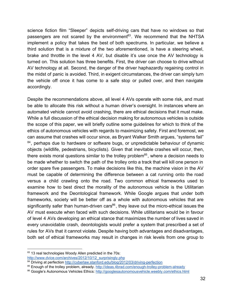science fiction film "Sleeper" depicts self-driving cars that have no windows so that passengers are not scared by the environment<sup>83</sup>. We recommend that the NHTSA implement a policy that takes the best of both spectrums. In particular, we believe a third solution that is a mixture of the two aforementioned, is have a steering wheel, brake and throttle in the level 4 AV, but disable it's use once the AV technology is turned on. This solution has three benefits. First, the driver can choose to drive without AV technology at all. Second, the danger of the driver haphazardly regaining control in the midst of panic is avoided. Third, in exigent circumstances, the driver can simply turn the vehicle off once it has come to a safe stop or pulled over, and then navigate accordingly.

Despite the recommendations above, all level 4 AVs operate with some risk, and must be able to allocate this risk without a human driver's oversight. In instances where an automated vehicle cannot avoid crashing, there are ethical decisions that it must make. While a full discussion of the ethical decision making for autonomous vehicles is outside the scope of this paper, we will briefly outline some guidelines for which to think of the ethics of autonomous vehicles with regards to maximizing safety. First and foremost, we can assume that crashes will occur since, as Bryant Walker Smith argues, "systems fail" <sup>84</sup>, perhaps due to hardware or software bugs, or unpredictable behaviour of dynamic objects (wildlife, pedestrians, bicyclists). Given that inevitable crashes will occur, then, there exists moral questions similar to the trolley problem $^{85}$ , where a decision needs to be made whether to switch the path of the trolley onto a track that will kill one person in order spare five passengers. To make decisions like this, the machine vision in the AV must be capable of determining the difference between a cat running onto the road versus a child crawling onto the road. Two common ethical frameworks used to examine how to best direct the morality of the autonomous vehicle is the Utilitarian framework and the Deontological framework. While Google argues that under both frameworks, society will be better off as a whole with autonomous vehicles that are significantly safer than human-driven cars<sup>86</sup>, they leave out the micro-ethical issues the AV must execute when faced with such decisions. While utilitarians would be in favour of level 4 AVs developing an ethical stance that maximizes the number of lives saved in every unavoidable crash, deontologists would prefer a system that prescribed a set of rules for AVs that it cannot violate. Despite having both advantages and disadvantages, both set of ethical frameworks may result in changes in risk levels from one group to

<sup>83 13</sup> real technologies Woody Allen predicted in the 70s:

[http://www.dvice.com/archives/2012/10/12\\_surprisingly.php](http://www.google.com/url?q=http%3A%2F%2Fwww.dvice.com%2Farchives%2F2012%2F10%2F12_surprisingly.php&sa=D&sntz=1&usg=AFQjCNG7V6MjZIcKVagb-OrZ-uxAOuRrig)

<sup>&</sup>lt;sup>84</sup> Driving at perfection http://cyberlaw.stanford.edu/blog/2012/03/driving-perfection

<sup>85</sup> Enough of the trolley problem, already. http://ideas.4brad.com/enough-trolley-problem-already

<sup>86</sup> Google's Autonomous Vehicles Ethics: [http://googlesautonomousvehicle.weebly.com/ethics.html](http://www.google.com/url?q=http%3A%2F%2Fgooglesautonomousvehicle.weebly.com%2Fethics.html&sa=D&sntz=1&usg=AFQjCNFa6S0YahCzHSYBXfk5o-WPPZZESQ)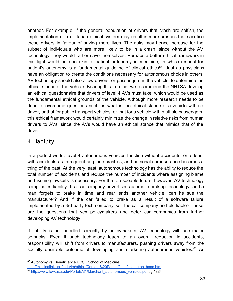another. For example, if the general population of drivers that crash are selfish, the implementation of a utilitarian ethical system may result in more crashes that sacrifice these drivers in favour of saving more lives. The risks may hence increase for the subset of individuals who are more likely to be in a crash, since without the AV technology, they would rather save themselves. Perhaps a better ethical framework in this light would be one akin to patient autonomy in medicine, in which respect for patient's autonomy is a fundamental guideline of clinical ethics<sup>87</sup>. Just as physicians have an obligation to create the conditions necessary for autonomous choice in others, AV technology should also allow drivers, or passengers in the vehicle, to determine the ethical stance of the vehicle. Bearing this in mind, we recommend the NHTSA develop an ethical questionnaire that drivers of level 4 AVs must take, which would be used as the fundamental ethical grounds of the vehicle. Although more research needs to be done to overcome questions such as what is the ethical stance of a vehicle with no driver, or that for public transport vehicles, or that for a vehicle with multiple passengers, this ethical framework would certainly minimize the change in relative risks from human drivers to AVs, since the AVs would have an ethical stance that mimics that of the driver.

## 4 Liability

In a perfect world, level 4 autonomous vehicles function without accidents, or at least with accidents as infrequent as plane crashes, and personal car insurance becomes a thing of the past. At the very least, autonomous technology has the ability to reduce the total number of accidents and reduce the number of incidents where assigning blame and issuing lawsuits is necessary. For the foreseeable future, however, AV technology complicates liability. If a car company advertises automatic braking technology, and a man forgets to brake in time and rear ends another vehicle, can he sue the manufacturer? And if the car failed to brake as a result of a software failure implemented by a 3rd party tech company, will the car company be held liable? These are the questions that vex policymakers and deter car companies from further developing AV technology.

If liability is not handled correctly by policymakers, AV technology will face major setbacks. Even if such technology leads to an overall reduction in accidents, responsibility will shift from drivers to manufacturers, pushing drivers away from the socially desirable outcome of developing and marketing autonomous vehicles.<sup>88</sup> As

<sup>87</sup> Autonomy vs. Beneficience UCSF School of Medicine

[http://missinglink.ucsf.edu/lm/ethics/Content%20Pages/fast\\_fact\\_auton\\_bene.htm](http://www.google.com/url?q=http%3A%2F%2Fmissinglink.ucsf.edu%2Flm%2Fethics%2FContent%2520Pages%2Ffast_fact_auton_bene.htm&sa=D&sntz=1&usg=AFQjCNG9rfcVhuc3HkF0ySSr6L24BuGYjw)

<sup>88</sup> [http://www.law.asu.edu/Portals/31/Marchant\\_autonomous\\_vehicles.pdf](http://www.google.com/url?q=http%3A%2F%2Fwww.law.asu.edu%2FPortals%2F31%2FMarchant_autonomous_vehicles.pdf&sa=D&sntz=1&usg=AFQjCNF_0B655hI5dGFxUuTxc-vaFfnLGg) pg 1334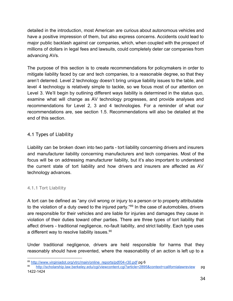detailed in the introduction, most American are curious about autonomous vehicles and have a positive impression of them, but also express concerns. Accidents could lead to major public backlash against car companies, which, when coupled with the prospect of millions of dollars in legal fees and lawsuits, could completely deter car companies from advancing AVs.

The purpose of this section is to create recommendations for policymakers in order to mitigate liability faced by car and tech companies, to a reasonable degree, so that they aren't deterred. Level 2 technology doesn't bring unique liability issues to the table, and level 4 technology is relatively simple to tackle, so we focus most of our attention on Level 3. We'll begin by outlining different ways liability is determined in the status quo, examine what will change as AV technology progresses, and provide analyses and recommendations for Level 2, 3 and 4 technologies. For a reminder of what our recommendations are, see section 1.5. Recommendations will also be detailed at the end of this section.

#### 4.1 Types of Liability

Liability can be broken down into two parts - tort liability concerning drivers and insurers and manufacturer liability concerning manufacturers and tech companies. Most of the focus will be on addressing manufacturer liability, but it's also important to understand the current state of tort liability and how drivers and insurers are affected as AV technology advances.

#### 4.1.1 Tort Liability

A tort can be defined as "any civil wrong or injury to a person or to property attributable to the violation of a duty owed to the injured party." $89$  In the case of automobiles, drivers are responsible for their vehicles and are liable for injuries and damages they cause in violation of their duties toward other parties. There are three types of tort liability that affect drivers - traditional negligence, no-fault liability, and strict liability. Each type uses a different way to resolve liability issues.<sup>90</sup>

Under traditional negligence, drivers are held responsible for harms that they reasonably should have prevented, where the reasonability of an action is left up to a

<sup>89</sup> http://www.virginiadot.org/vtrc/main/online\_reports/pdf/04-r30.pdf pg 6

[http://scholarship.law.berkeley.edu/cgi/viewcontent.cgi?article=2895&context=californialawreview](http://www.google.com/url?q=http%3A%2F%2Fscholarship.law.berkeley.edu%2Fcgi%2Fviewcontent.cgi%3Farticle%3D2895%26context%3Dcalifornialawreview&sa=D&sntz=1&usg=AFQjCNFksaLZbG-QNppIP4W0TqSeqpsj0A) pg 1422-1424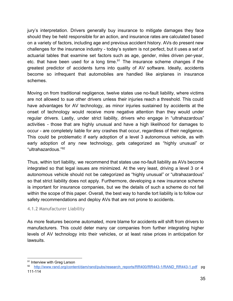jury's interpretation. Drivers generally buy insurance to mitigate damages they face should they be held responsible for an action, and insurance rates are calculated based on a variety of factors, including age and previous accident history. AVs do present new challenges for the insurance industry - today's system is not perfect, but it uses a set of actuarial tables that examine set factors such as age, gender, miles driven per-year, etc. that have been used for a long time. $91$  The insurance scheme changes if the greatest predictor of accidents turns into quality of AV software. Ideally, accidents become so infrequent that automobiles are handled like airplanes in insurance schemes.

Moving on from traditional negligence, twelve states use no-fault liability, where victims are not allowed to sue other drivers unless their injuries reach a threshold. This could have advantages for AV technology, as minor injuries sustained by accidents at the onset of technology would receive more negative attention than they would under regular drivers. Lastly, under strict liability, drivers who engage in "ultrahazardous" activities - those that are highly unusual and have a high likelihood for damages to occur - are completely liable for any crashes that occur, regardless of their negligence. This could be problematic if early adoption of a level 3 autonomous vehicle, as with early adoption of any new technology, gets categorized as "highly unusual" or "ultrahazardous." 92

Thus, within tort liability, we recommend that states use no-fault liability as AVs become integrated so that legal issues are minimized. At the very least, driving a level 3 or 4 autonomous vehicle should not be categorized as "highly unusual" or "ultrahazardous" so that strict liability does not apply. Furthermore, developing a new insurance scheme is important for insurance companies, but we the details of such a scheme do not fall within the scope of this paper. Overall, the best way to handle tort liability is to follow our safety recommendations and deploy AVs that are not prone to accidents.

#### 4.1.2 Manufacturer Liability

As more features become automated, more blame for accidents will shift from drivers to manufacturers. This could deter many car companies from further integrating higher levels of AV technology into their vehicles, or at least raise prices in anticipation for lawsuits.

<sup>&</sup>lt;sup>91</sup> Interview with Greg Larson

<sup>92</sup> http://www.rand.org/content/dam/rand/pubs/research\_reports/RR400/RR443-1/RAND\_RR443-1.pdf pg 111-114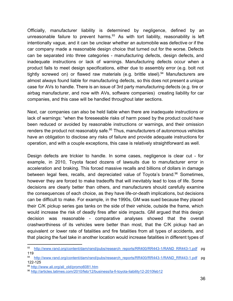Officially, manufacturer liability is determined by negligence, defined by an unreasonable failure to prevent harms. $93$  As with tort liability, reasonability is left intentionally vague, and it can be unclear whether an automobile was defective or if the car company made a reasonable design choice that turned out for the worse. Defects can be separated into three categories manufacturing defects, design defects, and inadequate instructions or lack of warnings. Manufacturing defects occur when a product fails to meet design specifications, either due to assembly error (e.g. bolt not tightly screwed on) or flawed raw materials (e.g. brittle steel). $94$  Manufacturers are almost always found liable for manufacturing defects, so this does not present a unique case for AVs to handle. There is an issue of 3rd party manufacturing defects (e.g. tire or airbag manufacturer, and now with AVs, software companies) creating liability for car companies, and this case will be handled throughout later sections.

Next, car companies can also be held liable when there are inadequate instructions or lack of warnings: "when the foreseeable risks of harm posed by the product could have been reduced or avoided by reasonable instructions or warnings, and their omission renders the product not reasonably safe. $95$  Thus, manufacturers of autonomous vehicles have an obligation to disclose any risks of failure and provide adequate instructions for operation, and with a couple exceptions, this case is relatively straightforward as well.

Design defects are trickier to handle. In some cases, negligence is clear cut - for example, in 2010, Toyota faced dozens of lawsuits due to manufacturer error in acceleration and braking. This forced massive recalls and billions of dollars in damage between legal fees, recalls, and depreciated value of Toyota's brand.<sup>96</sup> Sometimes, however they are forced to make tradeoffs that will inevitably lead to loss of life. Some decisions are clearly better than others, and manufacturers should carefully examine the consequences of each choice, as they have life-or-death implications, but decisions can be difficult to make. For example, in the 1990s, GM was sued because they placed their C/K pickup series gas tanks on the side of their vehicle, outside the frame, which would increase the risk of deadly fires after side impacts. GM argued that this design decision was reasonable - comparative analyses showed that the overall crashworthiness of its vehicles were better than most, that the C/K pickup had an equivalent or lower rate of fatalities and fire fatalities from all types of accidents, and that placing the fuel take in another location would increase fatalities in different types of

<sup>93</sup> http://www.rand.org/content/dam/rand/pubs/research\_reports/RR400/RR443-1/RAND\_RR443-1.pdf pg 119

<sup>94</sup> http://www.rand.org/content/dam/rand/pubs/research\_reports/RR400/RR443-1/RAND\_RR443-1.pdf pg 122-125

<sup>95</sup> [http://www.ali.org/ali\\_old/promo6081.htm](http://www.google.com/url?q=http%3A%2F%2Fwww.ali.org%2Fali_old%2Fpromo6081.htm&sa=D&sntz=1&usg=AFQjCNEqLYBe-5SYHO7bXD1YEoDFRNsTrA)

<sup>96</sup> http://articles.latimes.com/2010/feb/12/business/la-fi-toyota-liability12-2010feb12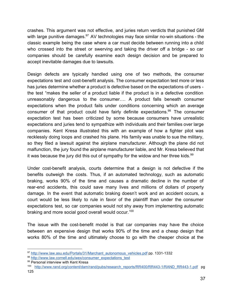crashes. This argument was not effective, and juries return verdicts that punished GM with large punitive damages. $97$  AV technologies may face similar no-win situations - the classic example being the case where a car must decide between running into a child who crossed into the street or swerving and taking the driver off a bridge - so car companies should be carefully examine each design decision and be prepared to accept inevitable damages due to lawsuits.

Design defects are typically handled using one of two methods, the consumer expectations test and cost-benefit analysis. The consumer expectation test more or less has juries determine whether a product is defective based on the expectations of users the test "makes the seller of a product liable if the product is in a defective condition unreasonably dangerous to the consumer…. A product falls beneath consumer expectations when the product fails under conditions concerning which an average consumer of that product could have fairly definite expectations.<sup>98</sup> The consumer expectation test has been criticized by some because consumers have unrealistic expectations and juries tend to sympathize with individuals and their families over large companies. Kent Kresa illustrated this with an example of how a fighter pilot was recklessly doing loops and crashed his plane. His family was unable to sue the military, so they filed a lawsuit against the airplane manufacturer. Although the plane did not malfunction, the jury found the airplane manufacturer liable, and Mr. Kresa believed that it was because the jury did this out of sympathy for the widow and her three kids.<sup>99</sup>

Under cost-benefit analysis, courts determine that a design is not defective if the benefits outweigh the costs. Thus, if an automated technology, such as automatic braking, works 90% of the time and causes a dramatic decline in the number of rear-end accidents, this could save many lives and millions of dollars of property damage. In the event that automatic braking doesn't work and an accident occurs, a court would be less likely to rule in favor of the plaintiff than under the consumer expectations test, so car companies would not shy away from implementing automatic braking and more social good overall would occur.<sup>100</sup>

The issue with the cost-benefit model is that car companies may have the choice between an expensive design that works 90% of the time and a cheap design that works 80% of the time and ultimately choose to go with the cheaper choice at the

<sup>97</sup> [http://www.law.asu.edu/Portals/31/Marchant\\_autonomous\\_vehicles.pdf](http://www.google.com/url?q=http%3A%2F%2Fwww.law.asu.edu%2FPortals%2F31%2FMarchant_autonomous_vehicles.pdf&sa=D&sntz=1&usg=AFQjCNF_0B655hI5dGFxUuTxc-vaFfnLGg) pp. 1331-1332

<sup>98</sup> [http://www.law.cornell.edu/wex/consumer\\_expectations\\_test](http://www.google.com/url?q=http%3A%2F%2Fwww.law.cornell.edu%2Fwex%2Fconsumer_expectations_test&sa=D&sntz=1&usg=AFQjCNFqxxIXcp6h3mwa0mXglCVLJ41piQ)

<sup>99</sup> Personal interview with Kent Kresa

<sup>100</sup> http://www.rand.org/content/dam/rand/pubs/research\_reports/RR400/RR443-1/RAND\_RR443-1.pdf pg 125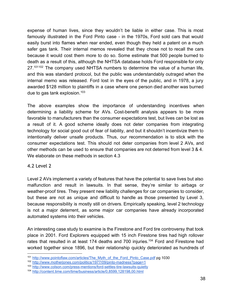expense of human lives, since they wouldn't be liable in either case. This is most famously illustrated in the Ford Pinto case - in the 1970s, Ford sold cars that would easily burst into flames when rear ended, even though they held a patent on a much safer gas tank. Their internal memos revealed that they chose not to recall the cars because it would cost them more to do so. Some estimate that 500 people burned to death as a result of this, although the NHTSA database holds Ford responsible for only  $27.101102$  The company used NHTSA numbers to determine the value of a human life, and this was standard protocol, but the public was understandably outraged when the internal memo was released. Ford lost in the eyes of the public, and in 1978, a jury awarded \$128 million to plaintiffs in a case where one person died another was burned due to gas tank explosion.<sup>103</sup>

The above examples show the importance of understanding incentives when determining a liability scheme for AVs. Cost-benefit analysis appears to be more favorable to manufacturers than the consumer expectations test, but lives can be lost as a result of it. A good scheme ideally does not deter companies from integrating technology for social good out of fear of liability, and but it shouldn't incentivize them to intentionally deliver unsafe products. Thus, our recommendation is to stick with the consumer expectations test. This should not deter companies from level 2 AVs, and other methods can be used to ensure that companies are not deterred from level 3 & 4. We elaborate on these methods in section 4.3

#### 4.2 Level 2

Level 2 AVs implement a variety of features that have the potential to save lives but also malfunction and result in lawsuits. In that sense, they're similar to airbags or weather-proof tires. They present new liability challenges for car companies to consider, but these are not as unique and difficult to handle as those presented by Level 3, because responsibility is mostly still on drivers. Empirically speaking, level 2 technology is not a major deterrent, as some major car companies have already incorporated automated systems into their vehicles.

An interesting case study to examine is the Firestone and Ford tire controversy that took place in 2001. Ford Explorers equipped with 15 inch Firestone tires had high rollover rates that resulted in at least 174 deaths and 700 injuries.<sup>104</sup> Ford and Firestone had worked together since 1896, but their relationship quickly deteriorated as hundreds of

<sup>101</sup> [http://www.pointoflaw.com/articles/The\\_Myth\\_of\\_the\\_Ford\\_Pinto\\_Case.pdf](http://www.google.com/url?q=http%3A%2F%2Fwww.pointoflaw.com%2Farticles%2FThe_Myth_of_the_Ford_Pinto_Case.pdf&sa=D&sntz=1&usg=AFQjCNFhR0hJ9y_3fvkfSRySqdNapvAs4w) pg 1030

<sup>&</sup>lt;sup>102</sup> http://www.motherjones.com/politics/1977/09/pinto-madness?page=1

<sup>103</sup> http://www.colson.com/press-mentions/ford-settles-tire-lawsuits-quietly

<sup>104</sup> [http://content.time.com/time/business/article/0,8599,128198,00.html](http://www.google.com/url?q=http%3A%2F%2Fcontent.time.com%2Ftime%2Fbusiness%2Farticle%2F0%2C8599%2C128198%2C00.html&sa=D&sntz=1&usg=AFQjCNEIcPLvnJJJVGwWOs4BqB527uB6KA)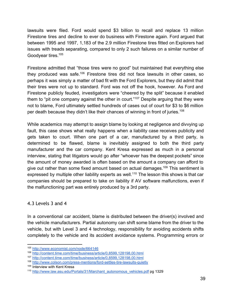lawsuits were filed. Ford would spend \$3 billion to recall and replace 13 million Firestone tires and decline to ever do business with Firestone again. Ford argued that between 1995 and 1997, 1,183 of the 2.9 million Firestone tires fitted on Explorers had issues with treads separating, compared to only 2 such failures on a similar number of Goodyear tires. 105

Firestone admitted that "those tires were no good" but maintained that everything else they produced was safe.<sup>106</sup> Firestone tires did not face lawsuits in other cases, so perhaps it was simply a matter of bad fit with the Ford Explorers, but they did admit that their tires were not up to standard. Ford was not off the hook, however. As Ford and Firestone publicly feuded, investigators were "cheered by the split" because it enabled them to "pit one company against the other in court."<sup>107</sup> Despite arguing that they were not to blame, Ford ultimately settled hundreds of cases out of court for \$3 to \$6 million per death because they didn't like their chances of winning in front of juries.<sup>108</sup>

While academics may attempt to assign blame by looking at negligence and divvying up fault, this case shows what really happens when a liability case receives publicity and gets taken to court. When one part of a car, manufactured by a third party, is determined to be flawed, blame is inevitably assigned to both the third party manufacturer and the car company. Kent Kresa expressed as much in a personal interview, stating that litigators would go after "whoever has the deepest pockets" since the amount of money awarded is often based on the amount a company can afford to give out rather than some fixed amount based on actual damages.<sup>109</sup> This sentiment is expressed by multiple other liability experts as well.<sup>110</sup> The lesson this shows is that car companies should be prepared to take on liability if AV software malfunctions, even if the malfunctioning part was entirely produced by a 3rd party.

#### 4.3 Levels 3 and 4

In a conventional car accident, blame is distributed between the driver(s) involved and the vehicle manufacturers. Partial autonomy can shift some blame from the driver to the vehicle, but with Level 3 and 4 technology, responsibility for avoiding accidents shifts completely to the vehicle and its accident avoidance systems. Programming errors or

<sup>105</sup> [http://www.economist.com/node/664146](http://www.google.com/url?q=http%3A%2F%2Fwww.economist.com%2Fnode%2F664146&sa=D&sntz=1&usg=AFQjCNGZhKtlAbcwq_l3nDVIo2EGKLFdMg)

<sup>106</sup> [http://content.time.com/time/business/article/0,8599,128198,00.html](http://www.google.com/url?q=http%3A%2F%2Fcontent.time.com%2Ftime%2Fbusiness%2Farticle%2F0%2C8599%2C128198%2C00.html&sa=D&sntz=1&usg=AFQjCNEIcPLvnJJJVGwWOs4BqB527uB6KA)

<sup>107</sup> [http://content.time.com/time/business/article/0,8599,128198,00.html](http://www.google.com/url?q=http%3A%2F%2Fcontent.time.com%2Ftime%2Fbusiness%2Farticle%2F0%2C8599%2C128198%2C00.html&sa=D&sntz=1&usg=AFQjCNEIcPLvnJJJVGwWOs4BqB527uB6KA)

<sup>108</sup> http://www.colson.com/press-mentions/ford-settles-tire-lawsuits-quietly

<sup>&</sup>lt;sup>109</sup> Interview with Kent Kresa

<sup>110</sup> [http://www.law.asu.edu/Portals/31/Marchant\\_autonomous\\_vehicles.pdf](http://www.google.com/url?q=http%3A%2F%2Fwww.law.asu.edu%2FPortals%2F31%2FMarchant_autonomous_vehicles.pdf&sa=D&sntz=1&usg=AFQjCNF_0B655hI5dGFxUuTxc-vaFfnLGg) pg 1329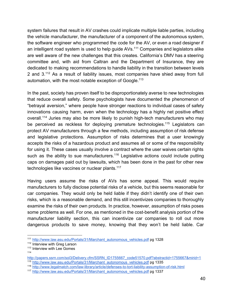system failures that result in AV crashes could implicate multiple liable parties, including the vehicle manufacturer, the manufacturer of a component of the autonomous system, the software engineer who programmed the code for the AV, or even a road designer if an intelligent road system is used to help guide  $AVs$ .<sup>111</sup> Companies and legislators alike are well aware of the new challenges that this creates. California's DMV has a steering committee and, with aid from Caltran and the Department of Insurance, they are dedicated to making recommendations to handle liability in the transition between levels 2 and  $3.112$  As a result of liability issues, most companies have shied away from full automation, with the most notable exception of Google.<sup>113</sup>

In the past, society has proven itself to be disproportionately averse to new technologies that reduce overall safety. Some psychologists have documented the phenomenon of "betrayal aversion," where people have stronger reactions to individual cases of safety innovations causing harm, even when the technology has a highly net positive effect overall.<sup>114</sup> Juries may also be more likely to punish high-tech manufacturers who may be perceived as reckless for deploying premature technologies.<sup>115</sup> Legislators can protect AV manufacturers through a few methods, including assumption of risk defense and legislative protections. Assumption of risks determines that a user knowingly accepts the risks of a hazardous product and assumes all or some of the responsibility for using it. These cases usually involve a contract where the user waives certain rights such as the ability to sue manufacturers.<sup>116</sup> Legislative actions could include putting caps on damages paid out by lawsuits, which has been done in the past for other new technologies like vaccines or nuclear plants.<sup>117</sup>

Having users assume the risks of AVs has some appeal. This would require manufacturers to fully disclose potential risks of a vehicle, but this seems reasonable for car companies. They would only be held liable if they didn't identify one of their own risks, which is a reasonable demand, and this still incentivizes companies to thoroughly examine the risks of their own products. In practice, however, assumption of risks poses some problems as well. For one, as mentioned in the cost-benefit analysis portion of the manufacturer liability section, this can incentivize car companies to roll out more dangerous products to save money, knowing that they won't be held liable. Car

<sup>111</sup> [http://www.law.asu.edu/Portals/31/Marchant\\_autonomous\\_vehicles.pdf](http://www.google.com/url?q=http%3A%2F%2Fwww.law.asu.edu%2FPortals%2F31%2FMarchant_autonomous_vehicles.pdf&sa=D&sntz=1&usg=AFQjCNF_0B655hI5dGFxUuTxc-vaFfnLGg) pg 1328

<sup>&</sup>lt;sup>112</sup> Interview with Greg Larson

<sup>&</sup>lt;sup>113</sup> Interview with Lee Gomes

<sup>114</sup>

[http://papers.ssrn.com/sol3/Delivery.cfm/SSRN\\_ID1755667\\_code51570.pdf?abstractid=1755667&mirid=1](http://www.google.com/url?q=http%3A%2F%2Fpapers.ssrn.com%2Fsol3%2FDelivery.cfm%2FSSRN_ID1755667_code51570.pdf%3Fabstractid%3D1755667%26mirid%3D1&sa=D&sntz=1&usg=AFQjCNF6LG1m2Pye0P49Ou8sc8KbMAhbUw) <sup>115</sup> [http://www.law.asu.edu/Portals/31/Marchant\\_autonomous\\_vehicles.pdf](http://www.google.com/url?q=http%3A%2F%2Fwww.law.asu.edu%2FPortals%2F31%2FMarchant_autonomous_vehicles.pdf&sa=D&sntz=1&usg=AFQjCNF_0B655hI5dGFxUuTxc-vaFfnLGg) pg 1335

<sup>116</sup> http://www.legalmatch.com/law-library/article/defenses-to-tort-liability-assumption-of-risk.html

<sup>117</sup> [http://www.law.asu.edu/Portals/31/Marchant\\_autonomous\\_vehicles.pdf](http://www.google.com/url?q=http%3A%2F%2Fwww.law.asu.edu%2FPortals%2F31%2FMarchant_autonomous_vehicles.pdf&sa=D&sntz=1&usg=AFQjCNF_0B655hI5dGFxUuTxc-vaFfnLGg) pg 1337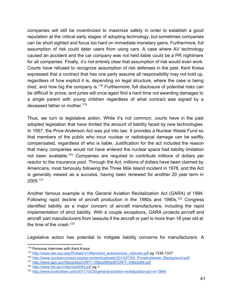companies will still be incentivized to maximize safety in order to establish a good reputation at the critical early stages of adopting technology, but sometimes companies can be short sighted and focus too hard on immediate monetary gains. Furthermore, full assumption of risk could deter users from using cars. A case where AV technology caused an accident and the car company was not held liable could be a PR nightmare for all companies. Finally, it's not entirely clear that assumption of risk would even work. Courts have refused to recognize assumption of risk defenses in the past. Kent Kresa expressed that a contract that has one party assume all responsibility may not hold up, regardless of how explicit it is, depending on legal structure, where the case is being tried, and how big the company is. $118$  Furthermore, full disclosure of potential risks can be difficult to prove, and juries will once again find a hard time not awarding damages to a single parent with young children regardless of what contract was signed by a deceased father or mother.<sup>119</sup>

Thus, we turn to legislative action. While it's not common, courts have in the past adopted legislation that have limited the amount of liability faced by new technologies. In 1957, the Price-Anderson Act was put into law. It provides a Nuclear Waste Fund so that members of the public who incur nuclear or radiological damage can be swiftly compensated, regardless of who is liable. Justification for the act included the reason that many companies would not have entered the nuclear space had liability limitation not been available.<sup>120</sup> Companies are required to contribute millions of dollars per reactor to the insurance pool. Through the Act, millions of dollars have been claimed by Americans, most famously following the Three Mile Island incident in 1978, and the Act is generally viewed as a success, having been renewed for another 20 year term in 2005. 121

Another famous example is the General Aviation Revitalization Act (GARA) of 1994. Following rapid decline of aircraft production in the 1980s and 1990s,  $122$  Congress identified liability as a major concern of aircraft manufacturers, including the rapid implementation of strict liability. With a couple exceptions, GARA protects aircraft and aircraft part manufacturers from lawsuits if the aircraft or part is more than 18 year old at the time of the crash.<sup>123</sup>

Legislative action has potential to mitigate liability concerns for manufacturers. A

<sup>&</sup>lt;sup>118</sup> Personal interview with Kent Kresa

<sup>119</sup> [http://www.law.asu.edu/Portals/31/Marchant\\_autonomous\\_vehicles.pdf](http://www.google.com/url?q=http%3A%2F%2Fwww.law.asu.edu%2FPortals%2F31%2FMarchant_autonomous_vehicles.pdf&sa=D&sntz=1&usg=AFQjCNF_0B655hI5dGFxUuTxc-vaFfnLGg) pg 13361337

<sup>&</sup>lt;sup>120</sup> http://www.nuclearconnect.org/wp-content/uploads/2014/07/54 PriceAnderson\_Background.pdf

<sup>121</sup> http://www.gpo.gov/fdsys/pkg/CRPT-109srpt99/pdf/CRPT-109srpt99.pdf

<sup>122</sup> [http://www.bls.gov/mfp/mprkh93.pdf](http://www.google.com/url?q=http%3A%2F%2Fwww.bls.gov%2Fmfp%2Fmprkh93.pdf&sa=D&sntz=1&usg=AFQjCNHm4dBuRhLLdKKWaxfM4HEF3FfN4Q) pg 1

<sup>123</sup> http://www.bvatriallaw.com/2011/10/25/general-aviation-revitalization-act-of-1994/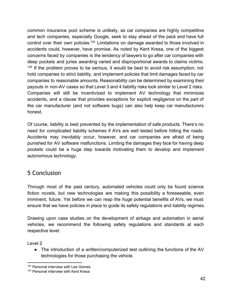common insurance pool scheme is unlikely, as car companies are highly competitive and tech companies, especially Google, seek to stay ahead of the pack and have full control over their own policies.<sup>124</sup> Limitations on damage awarded to those involved in accidents could, however, have promise. As noted by Kent Kresa, one of the biggest concerns faced by companies is the tendency of lawyers to go after car companies with deep pockets and juries awarding varied and disproportional awards to claims victims.  $125$  If the problem proves to be serious, it would be best to avoid risk assumption, not hold companies to strict liability, and implement policies that limit damages faced by car companies to reasonable amounts. Reasonability can be determined by examining their payouts in nonAV cases so that Level 3 and 4 liability risks look similar to Level 2 risks. Companies will still be incentivized to implement AV technology that minimizes accidents, and a clause that provides exceptions for explicit negligence on the part of the car manufacturer (and not software bugs) can also help keep car manufacturers honest.

Of course, liability is best prevented by the implementation of safe products. There's no need for complicated liability schemes if AVs are well tested before hitting the roads. Accidents may inevitably occur, however, and car companies are afraid of being punished for AV software malfunctions. Limiting the damages they face for having deep pockets could be a huge step towards motivating them to develop and implement autonomous technology.

# 5 Conclusion

Through most of the past century, automated vehicles could only be found science fiction novels, but new technologies are making this possibility a foreseeable, even imminent, future. Yet before we can reap the huge potential benefits of AVs, we must ensure that we have policies in place to guide its safety regulations and liability regimes.

Drawing upon case studies on the development of airbags and automation in aerial vehicles, we recommend the following safety regulations and standards at each respective level:

Level 2

• The introduction of a written/computerized test outlining the functions of the AV technologies for those purchasing the vehicle.

<sup>&</sup>lt;sup>124</sup> Personal interview with Lee Gomes

<sup>&</sup>lt;sup>125</sup> Personal interview with Kent Kresa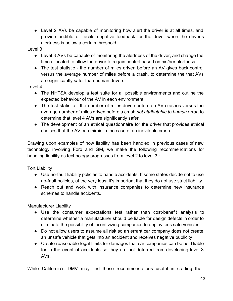• Level 2 AVs be capable of monitoring how alert the driver is at all times, and provide audible or tactile negative feedback for the driver when the driver's alertness is below a certain threshold.

Level 3

- Level 3 AVs be capable of monitoring the alertness of the driver, and change the time allocated to allow the driver to regain control based on his/her alertness.
- The test statistic the number of miles driven before an AV gives back control versus the average number of miles before a crash, to determine the that AVs are significantly safer than human drivers.

Level 4

- The NHTSA develop a test suite for all possible environments and outline the expected behaviour of the AV in each environment.
- The test statistic the number of miles driven before an AV crashes versus the average number of miles driven before a crash *not attributable to human error*, to determine that level 4 AVs are significantly safer.
- The development of an ethical questionnaire for the driver that provides ethical choices that the AV can mimic in the case of an inevitable crash.

Drawing upon examples of how liability has been handled in previous cases of new technology involving Ford and GM, we make the following recommendations for handling liability as technology progresses from level 2 to level 3::

Tort Liability

- Use no-fault liability policies to handle accidents. If some states decide not to use no-fault policies, at the very least it's important that they do not use strict liability.
- Reach out and work with insurance companies to determine new insurance schemes to handle accidents.

Manufacturer Liability

- Use the consumer expectations test rather than cost-benefit analysis to determine whether a manufacturer should be liable for design defects in order to eliminate the possibility of incentivizing companies to deploy less safe vehicles.
- Do not allow users to assume all risk so an errant car company does not create an unsafe vehicle that gets into an accident and receives negative publicity
- Create reasonable legal limits for damages that car companies can be held liable for in the event of accidents so they are not deterred from developing level 3 AVs.

While California's DMV may find these recommendations useful in crafting their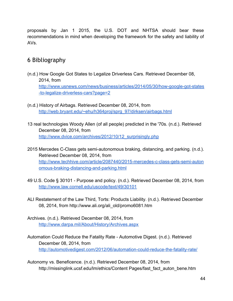proposals by Jan 1 2015, the U.S. DOT and NHTSA should bear these recommendations in mind when developing the framework for the safety and liability of AVs.

# 6 Bibliography

- (n.d.) How Google Got States to Legalize Driverless Cars. Retrieved December 08, 2014, from http://www.usnews.com/news/business/articles/2014/05/30/how-google-got-states -to-legalize-driverless-cars?page=2
- (n.d.) History of Airbags. Retrieved December 08, 2014, from [http://web.bryant.edu/~ehu/h364proj/sprg\\_97/dirksen/airbags.html](http://www.google.com/url?q=http%3A%2F%2Fweb.bryant.edu%2F~ehu%2Fh364proj%2Fsprg_97%2Fdirksen%2Fairbags.html&sa=D&sntz=1&usg=AFQjCNHIK5SfJxNYa4ohFQ31aZtJ7sIqXw)
- 13 real technologies Woody Allen (of all people) predicted in the '70s. (n.d.). Retrieved December 08, 2014, from [http://www.dvice.com/archives/2012/10/12\\_surprisingly.php](http://www.google.com/url?q=http%3A%2F%2Fwww.dvice.com%2Farchives%2F2012%2F10%2F12_surprisingly.php&sa=D&sntz=1&usg=AFQjCNG7V6MjZIcKVagb-OrZ-uxAOuRrig)
- 2015 Mercedes C-Class gets semi-autonomous braking, distancing, and parking. (n.d.). Retrieved December 08, 2014, from http://www.techhive.com/article/2087440/2015-mercedes-c-class-gets-semi-auton omous-braking-distancing-and-parking.html
- 49 U.S. Code § 30101 Purpose and policy. (n.d.). Retrieved December 08, 2014, from [http://www.law.cornell.edu/uscode/text/49/30101](http://www.google.com/url?q=http%3A%2F%2Fwww.law.cornell.edu%2Fuscode%2Ftext%2F49%2F30101&sa=D&sntz=1&usg=AFQjCNEzLDgunAU6mLEsZhgSh-wtWwPRIw)
- ALI Restatement of the Law Third, Torts: Products Liability. (n.d.). Retrieved December 08, 2014, from http://www.ali.org/ali\_old/promo6081.htm
- Archives. (n.d.). Retrieved December 08, 2014, from [http://www.darpa.mil/About/History/Archives.aspx](http://www.google.com/url?q=http%3A%2F%2Fwww.darpa.mil%2FAbout%2FHistory%2FArchives.aspx&sa=D&sntz=1&usg=AFQjCNEXEOsWvHsiiyd4JmG1-d81Fely3w)
- Automation Could Reduce the Fatality Rate Automotive Digest. (n.d.). Retrieved December 08, 2014, from http://automotivedigest.com/2012/06/automation-could-reduce-the-fatality-rate/
- Autonomy vs. Beneficence. (n.d.). Retrieved December 08, 2014, from http://missinglink.ucsf.edu/lm/ethics/Content Pages/fast\_fact\_auton\_bene.htm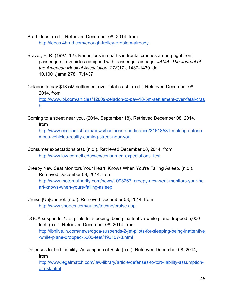Brad Ideas. (n.d.). Retrieved December 08, 2014, from http://ideas.4brad.com/enough-trolley-problem-already

Braver, E. R. (1997, 12). Reductions in deaths in frontal crashes among right front passengers in vehicles equipped with passenger air bags. *JAMA: The Journal of the American Medical Association, 278*(17), 14371439. doi: 10.1001/jama.278.17.1437

Celadon to pay \$18.5M settlement over fatal crash. (n.d.). Retrieved December 08, 2014, from http://www.ibj.com/articles/42809-celadon-to-pay-18-5m-settlement-over-fatal-cras [h](http://www.google.com/url?q=http%3A%2F%2Fwww.ibj.com%2Farticles%2F42809-celadon-to-pay-18-5m-settlement-over-fatal-crash&sa=D&sntz=1&usg=AFQjCNHsyYeULFX9OfPbLnDdK1Cyo4YX7g)

Coming to a street near you. (2014, September 18). Retrieved December 08, 2014, from http://www.economist.com/news/business-and-finance/21618531-making-autono

mous-vehicles-reality-coming-street-near-you

Consumer expectations test. (n.d.). Retrieved December 08, 2014, from [http://www.law.cornell.edu/wex/consumer\\_expectations\\_test](http://www.google.com/url?q=http%3A%2F%2Fwww.law.cornell.edu%2Fwex%2Fconsumer_expectations_test&sa=D&sntz=1&usg=AFQjCNFqxxIXcp6h3mwa0mXglCVLJ41piQ)

Creepy New Seat Monitors Your Heart, Knows When You're Falling Asleep. (n.d.). Retrieved December 08, 2014, from http://www.motorauthority.com/news/1093267\_creepy-new-seat-monitors-your-he art-knows-when-youre-falling-asleep

Cruise [Un]Control. (n.d.). Retrieved December 08, 2014, from [http://www.snopes.com/autos/techno/cruise.asp](http://www.google.com/url?q=http%3A%2F%2Fwww.snopes.com%2Fautos%2Ftechno%2Fcruise.asp&sa=D&sntz=1&usg=AFQjCNGG_RTsi5iwSdNyeFYeA5qWNLlRnQ)

DGCA suspends 2 Jet pilots for sleeping, being inattentive while plane dropped 5,000 feet. (n.d.). Retrieved December 08, 2014, from http://ibnlive.in.com/news/dgca-suspends-2-jet-pilots-for-sleeping-being-inattentive -while-plane-dropped-5000-feet/492107-3.html

Defenses to Tort Liability: Assumption of Risk. (n.d.). Retrieved December 08, 2014, from

http://www.legalmatch.com/law-library/article/defenses-to-tort-liability-assumptionof-risk.html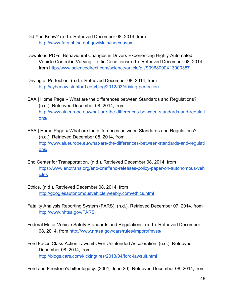Did You Know? (n.d.). Retrieved December 08, 2014, from [http://wwwfars.nhtsa.dot.gov/Main/index.aspx](http://www.google.com/url?q=http%3A%2F%2Fwww-fars.nhtsa.dot.gov%2FMain%2Findex.aspx&sa=D&sntz=1&usg=AFQjCNGS_Hy23uiHTmwdkr-XowXRuDfj4Q)

- Download PDFs. Behavioural Changes in Drivers Experiencing Highly-Automated Vehicle Control in Varying Traffic Conditions(n.d.). Retrieved December 08, 2014, from [http://www.sciencedirect.com/science/article/pii/S0968090X13000387](http://www.google.com/url?q=http%3A%2F%2Fwww.sciencedirect.com%2Fscience%2Farticle%2Fpii%2FS0968090X13000387&sa=D&sntz=1&usg=AFQjCNF08e9cjyGpxAtMWjC5sdGP6EfNfQ)
- Driving at Perfection. (n.d.). Retrieved December 08, 2014, from http://cyberlaw.stanford.edu/blog/2012/03/driving-perfection
- EAA | Home Page » What are the differences between Standards and Regulations? (n.d.). Retrieved December 08, 2014, from http://www.alueurope.eu/what-are-the-differences-between-standards-and-regulati [ons/](http://www.google.com/url?q=http%3A%2F%2Fwww.alueurope.eu%2Fwhat-are-the-differences-between-standards-and-regulations%2F&sa=D&sntz=1&usg=AFQjCNFXtqpR_L3zS_AlpPdEdqB8A2C3hg)
- EAA | Home Page » What are the differences between Standards and Regulations? (n.d.). Retrieved December 08, 2014, from http://www.alueurope.eu/what-are-the-differences-between-standards-and-regulati [ons/](http://www.google.com/url?q=http%3A%2F%2Fwww.alueurope.eu%2Fwhat-are-the-differences-between-standards-and-regulations%2F&sa=D&sntz=1&usg=AFQjCNFXtqpR_L3zS_AlpPdEdqB8A2C3hg)
- Eno Center for Transportation. (n.d.). Retrieved December 08, 2014, from https://www.enotrans.org/eno-brief/eno-releases-policy-paper-on-autonomous-veh [icles](https://www.google.com/url?q=https%3A%2F%2Fwww.enotrans.org%2Feno-brief%2Feno-releases-policy-paper-on-autonomous-vehicles&sa=D&sntz=1&usg=AFQjCNFAswVBSHnD8uoKgCiYMOE2ItFGzQ)
- Ethics. (n.d.). Retrieved December 08, 2014, from [http://googlesautonomousvehicle.weebly.com/ethics.html](http://www.google.com/url?q=http%3A%2F%2Fgooglesautonomousvehicle.weebly.com%2Fethics.html&sa=D&sntz=1&usg=AFQjCNFa6S0YahCzHSYBXfk5o-WPPZZESQ)
- Fatality Analysis Reporting System (FARS). (n.d.). Retrieved December 07, 2014, from [http://www.nhtsa.gov/FARS](http://www.google.com/url?q=http%3A%2F%2Fwww.nhtsa.gov%2FFARS&sa=D&sntz=1&usg=AFQjCNGWf7joQDPTmvMj1XL_4OCq1ozz7A)
- Federal Motor Vehicle Safety Standards and Regulations. (n.d.). Retrieved December 08, 2014, from [http://www.nhtsa.gov/cars/rules/import/fmvss/](http://www.google.com/url?q=http%3A%2F%2Fwww.nhtsa.gov%2Fcars%2Frules%2Fimport%2Ffmvss%2F&sa=D&sntz=1&usg=AFQjCNFVFhMFRM0adBcghJLe35HcMurHiQ)
- Ford Faces Class-Action Lawsuit Over Unintended Acceleration. (n.d.). Retrieved December 08, 2014, from http://blogs.cars.com/kickingtires/2013/04/ford-lawsuit.html

Ford and Firestone's bitter legacy. (2001, June 20). Retrieved December 08, 2014, from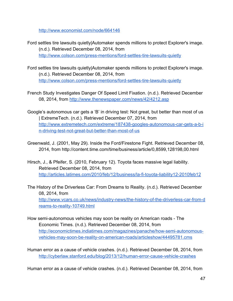[http://www.economist.com/node/664146](http://www.google.com/url?q=http%3A%2F%2Fwww.economist.com%2Fnode%2F664146&sa=D&sntz=1&usg=AFQjCNGZhKtlAbcwq_l3nDVIo2EGKLFdMg)

- Ford settles tire lawsuits quietly|Automaker spends millions to protect Explorer's image. (n.d.). Retrieved December 08, 2014, from http://www.colson.com/press-mentions/ford-settles-tire-lawsuits-quietly
- Ford settles tire lawsuits quietly|Automaker spends millions to protect Explorer's image. (n.d.). Retrieved December 08, 2014, from http://www.colson.com/press-mentions/ford-settles-tire-lawsuits-quietly
- French Study Investigates Danger Of Speed Limit Fixation. (n.d.). Retrieved December 08, 2014, from [http://www.thenewspaper.com/news/42/4212.asp](http://www.google.com/url?q=http%3A%2F%2Fwww.thenewspaper.com%2Fnews%2F42%2F4212.asp&sa=D&sntz=1&usg=AFQjCNEmDglUkwZ-piQYRO1euJojLlzz8Q)
- Google's autonomous car gets a 'B' in driving test: Not great, but better than most of us | ExtremeTech. (n.d.). Retrieved December 07, 2014, from http://www.extremetech.com/extreme/187438-googles-autonomous-car-gets-a-b-i n-driving-test-not-great-but-better-than-most-of-us
- Greenwald, J. (2001, May 29). Inside the Ford/Firestone Fight. Retrieved December 08, 2014, from http://content.time.com/time/business/article/0,8599,128198,00.html
- Hirsch, J., & Pfeifer, S. (2010, February 12). Toyota faces massive legal liability. Retrieved December 08, 2014, from http://articles.latimes.com/2010/feb/12/business/la-fi-toyota-liability12-2010feb12

The History of the Driverless Car: From Dreams to Reality. (n.d.). Retrieved December 08, 2014, from http://www.vcars.co.uk/news/industry-news/the-history-of-the-driverless-car-from-d reams-to-reality-10749.html

- How semi-autonomous vehicles may soon be reality on American roads The Economic Times. (n.d.). Retrieved December 08, 2014, from http://economictimes.indiatimes.com/magazines/panache/how-semi-autonomousvehicles-may-soon-be-reality-on-american-roads/articleshow/44495781.cms
- Human error as a cause of vehicle crashes. (n.d.). Retrieved December 08, 2014, from http://cyberlaw.stanford.edu/blog/2013/12/human-error-cause-vehicle-crashes

Human error as a cause of vehicle crashes. (n.d.). Retrieved December 08, 2014, from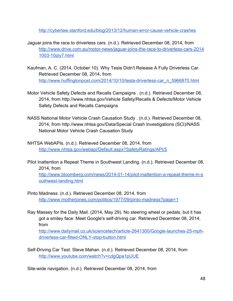http://cyberlaw.stanford.edu/blog/2013/12/human-error-cause-vehicle-crashes

- Jaguar joins the race to driverless cars. (n.d.). Retrieved December 08, 2014, from http://www.drive.com.au/motor-news/jaguar-joins-the-race-to-driverless-cars-2014 1003-10ply7.html
- Kaufman, A. C. (2014, October 10). Why Tesla Didn't Release A Fully Driverless Car. Retrieved December 08, 2014, from http://www.huffingtonpost.com/2014/10/10/tesla-driverless-car\_n\_5966870.html
- Motor Vehicle Safety Defects and Recalls Campaigns . (n.d.). Retrieved December 08, 2014, from http://www.nhtsa.gov/Vehicle Safety/Recalls & Defects/Motor Vehicle Safety Defects and Recalls Campaigns
- NASS National Motor Vehicle Crash Causation Study . (n.d.). Retrieved December 08, 2014, from http://www.nhtsa.gov/Data/Special Crash Investigations (SCI)/NASS National Motor Vehicle Crash Causation Study
- NHTSA WebAPIs. (n.d.). Retrieved December 08, 2014, from [http://www.nhtsa.gov/webapi/Default.aspx?SafetyRatings/API/5](http://www.google.com/url?q=http%3A%2F%2Fwww.nhtsa.gov%2Fwebapi%2FDefault.aspx%3FSafetyRatings%2FAPI%2F5&sa=D&sntz=1&usg=AFQjCNH_1sJsbwUOhdLgW_adhRhhTMyMjg)
- Pilot Inattention a Repeat Theme in Southwest Landing. (n.d.). Retrieved December 08, 2014, from http://www.bloomberg.com/news/2014-01-14/pilot-inattention-a-repeat-theme-in-s outhwest-landing.html
- Pinto Madness. (n.d.). Retrieved December 08, 2014, from http://www.motherjones.com/politics/1977/09/pinto-madness?page=1
- Ray Massey for the Daily Mail. (2014, May 29). No steering wheel or pedals, but it has got a smiley face: Meet Google's selfdriving car. Retrieved December 08, 2014, from

http://www.dailymail.co.uk/sciencetech/article-2641300/Google-launches-25-mphdriverless-car-fitted-ONLY-stop-button.html

Self-Driving Car Test: Steve Mahan. (n.d.). Retrieved December 08, 2014, from <http://www.youtube.com/watch?v=cdgQpa1pUUE>

Site-wide navigation. (n.d.). Retrieved December 08, 2014, from